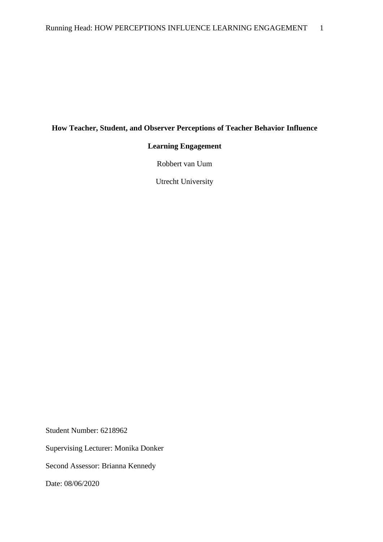## **How Teacher, Student, and Observer Perceptions of Teacher Behavior Influence**

## **Learning Engagement**

Robbert van Uum

Utrecht University

Student Number: 6218962

Supervising Lecturer: Monika Donker

Second Assessor: Brianna Kennedy

Date: 08/06/2020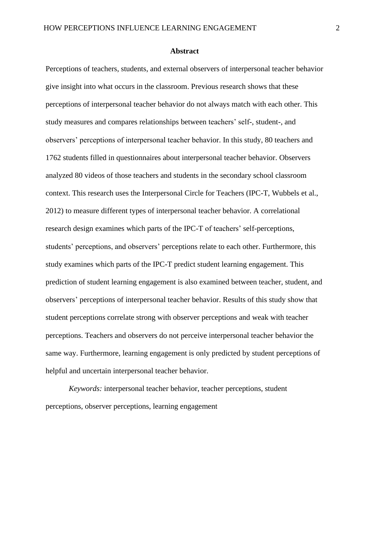#### **Abstract**

Perceptions of teachers, students, and external observers of interpersonal teacher behavior give insight into what occurs in the classroom. Previous research shows that these perceptions of interpersonal teacher behavior do not always match with each other. This study measures and compares relationships between teachers' self-, student-, and observers' perceptions of interpersonal teacher behavior. In this study, 80 teachers and 1762 students filled in questionnaires about interpersonal teacher behavior. Observers analyzed 80 videos of those teachers and students in the secondary school classroom context. This research uses the Interpersonal Circle for Teachers (IPC-T, Wubbels et al., 2012) to measure different types of interpersonal teacher behavior. A correlational research design examines which parts of the IPC-T of teachers' self-perceptions, students' perceptions, and observers' perceptions relate to each other. Furthermore, this study examines which parts of the IPC-T predict student learning engagement. This prediction of student learning engagement is also examined between teacher, student, and observers' perceptions of interpersonal teacher behavior. Results of this study show that student perceptions correlate strong with observer perceptions and weak with teacher perceptions. Teachers and observers do not perceive interpersonal teacher behavior the same way. Furthermore, learning engagement is only predicted by student perceptions of helpful and uncertain interpersonal teacher behavior.

*Keywords:* interpersonal teacher behavior, teacher perceptions, student perceptions, observer perceptions, learning engagement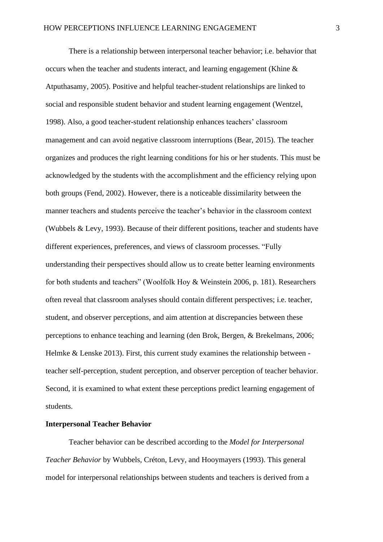There is a relationship between interpersonal teacher behavior; i.e. behavior that occurs when the teacher and students interact, and learning engagement (Khine & Atputhasamy, 2005). Positive and helpful teacher-student relationships are linked to social and responsible student behavior and student learning engagement (Wentzel, 1998). Also, a good teacher-student relationship enhances teachers' classroom management and can avoid negative classroom interruptions (Bear, 2015). The teacher organizes and produces the right learning conditions for his or her students. This must be acknowledged by the students with the accomplishment and the efficiency relying upon both groups (Fend, 2002). However, there is a noticeable dissimilarity between the manner teachers and students perceive the teacher's behavior in the classroom context (Wubbels & Levy, 1993). Because of their different positions, teacher and students have different experiences, preferences, and views of classroom processes. "Fully understanding their perspectives should allow us to create better learning environments for both students and teachers" (Woolfolk Hoy & Weinstein 2006, p. 181). Researchers often reveal that classroom analyses should contain different perspectives; i.e. teacher, student, and observer perceptions, and aim attention at discrepancies between these perceptions to enhance teaching and learning (den Brok, Bergen, & Brekelmans, 2006; Helmke & Lenske 2013). First, this current study examines the relationship between teacher self-perception, student perception, and observer perception of teacher behavior. Second, it is examined to what extent these perceptions predict learning engagement of students.

### **Interpersonal Teacher Behavior**

Teacher behavior can be described according to the *Model for Interpersonal Teacher Behavior* by Wubbels, Créton, Levy, and Hooymayers (1993). This general model for interpersonal relationships between students and teachers is derived from a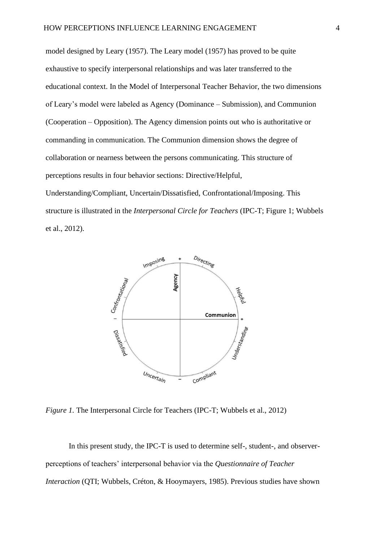model designed by Leary (1957). The Leary model (1957) has proved to be quite exhaustive to specify interpersonal relationships and was later transferred to the educational context. In the Model of Interpersonal Teacher Behavior, the two dimensions of Leary's model were labeled as Agency (Dominance – Submission), and Communion (Cooperation – Opposition). The Agency dimension points out who is authoritative or commanding in communication. The Communion dimension shows the degree of collaboration or nearness between the persons communicating. This structure of perceptions results in four behavior sections: Directive/Helpful,

Understanding/Compliant, Uncertain/Dissatisfied, Confrontational/Imposing. This structure is illustrated in the *Interpersonal Circle for Teachers* (IPC-T; Figure 1; Wubbels et al., 2012).



*Figure 1.* The Interpersonal Circle for Teachers (IPC-T; Wubbels et al., 2012)

In this present study, the IPC-T is used to determine self-, student-, and observerperceptions of teachers' interpersonal behavior via the *Questionnaire of Teacher Interaction* (QTI; Wubbels, Créton, & Hooymayers, 1985). Previous studies have shown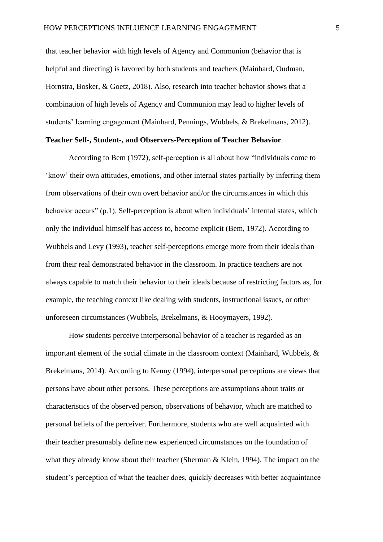that teacher behavior with high levels of Agency and Communion (behavior that is helpful and directing) is favored by both students and teachers (Mainhard, Oudman, Hornstra, Bosker, & Goetz, 2018). Also, research into teacher behavior shows that a combination of high levels of Agency and Communion may lead to higher levels of students' learning engagement (Mainhard, Pennings, Wubbels, & Brekelmans, 2012).

### **Teacher Self-, Student-, and Observers-Perception of Teacher Behavior**

According to Bem (1972), self-perception is all about how "individuals come to 'know' their own attitudes, emotions, and other internal states partially by inferring them from observations of their own overt behavior and/or the circumstances in which this behavior occurs" (p.1). Self-perception is about when individuals' internal states, which only the individual himself has access to, become explicit (Bem, 1972). According to Wubbels and Levy (1993), teacher self-perceptions emerge more from their ideals than from their real demonstrated behavior in the classroom. In practice teachers are not always capable to match their behavior to their ideals because of restricting factors as, for example, the teaching context like dealing with students, instructional issues, or other unforeseen circumstances (Wubbels, Brekelmans, & Hooymayers, 1992).

How students perceive interpersonal behavior of a teacher is regarded as an important element of the social climate in the classroom context (Mainhard, Wubbels, & Brekelmans, 2014). According to Kenny (1994), interpersonal perceptions are views that persons have about other persons. These perceptions are assumptions about traits or characteristics of the observed person, observations of behavior, which are matched to personal beliefs of the perceiver. Furthermore, students who are well acquainted with their teacher presumably define new experienced circumstances on the foundation of what they already know about their teacher (Sherman & Klein, 1994). The impact on the student's perception of what the teacher does, quickly decreases with better acquaintance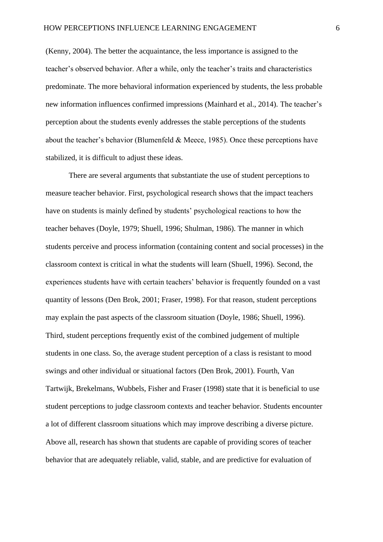(Kenny, 2004). The better the acquaintance, the less importance is assigned to the teacher's observed behavior. After a while, only the teacher's traits and characteristics predominate. The more behavioral information experienced by students, the less probable new information influences confirmed impressions (Mainhard et al., 2014). The teacher's perception about the students evenly addresses the stable perceptions of the students about the teacher's behavior (Blumenfeld & Meece, 1985). Once these perceptions have stabilized, it is difficult to adjust these ideas.

There are several arguments that substantiate the use of student perceptions to measure teacher behavior. First, psychological research shows that the impact teachers have on students is mainly defined by students' psychological reactions to how the teacher behaves (Doyle, 1979; Shuell, 1996; Shulman, 1986). The manner in which students perceive and process information (containing content and social processes) in the classroom context is critical in what the students will learn (Shuell, 1996). Second, the experiences students have with certain teachers' behavior is frequently founded on a vast quantity of lessons (Den Brok, 2001; Fraser, 1998). For that reason, student perceptions may explain the past aspects of the classroom situation (Doyle, 1986; Shuell, 1996). Third, student perceptions frequently exist of the combined judgement of multiple students in one class. So, the average student perception of a class is resistant to mood swings and other individual or situational factors (Den Brok, 2001). Fourth, Van Tartwijk, Brekelmans, Wubbels, Fisher and Fraser (1998) state that it is beneficial to use student perceptions to judge classroom contexts and teacher behavior. Students encounter a lot of different classroom situations which may improve describing a diverse picture. Above all, research has shown that students are capable of providing scores of teacher behavior that are adequately reliable, valid, stable, and are predictive for evaluation of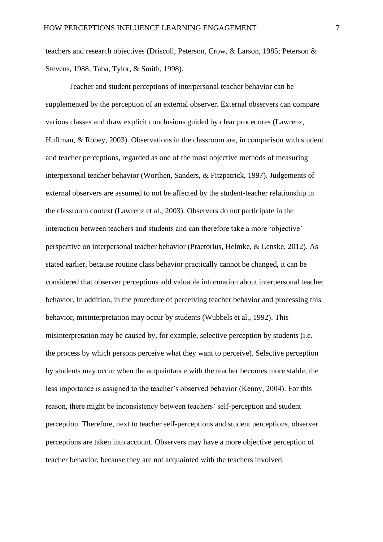teachers and research objectives (Driscoll, Peterson, Crow, & Larson, 1985; Peterson & Stevens, 1988; Taba, Tylor, & Smith, 1998).

Teacher and student perceptions of interpersonal teacher behavior can be supplemented by the perception of an external observer. External observers can compare various classes and draw explicit conclusions guided by clear procedures (Lawrenz, Huffman, & Robey, 2003). Observations in the classroom are, in comparison with student and teacher perceptions, regarded as one of the most objective methods of measuring interpersonal teacher behavior (Worthen, Sanders, & Fitzpatrick, 1997). Judgements of external observers are assumed to not be affected by the student-teacher relationship in the classroom context (Lawrenz et al., 2003). Observers do not participate in the interaction between teachers and students and can therefore take a more 'objective' perspective on interpersonal teacher behavior (Praetorius, Helmke, & Lenske, 2012). As stated earlier, because routine class behavior practically cannot be changed, it can be considered that observer perceptions add valuable information about interpersonal teacher behavior. In addition, in the procedure of perceiving teacher behavior and processing this behavior, misinterpretation may occur by students (Wubbels et al., 1992). This misinterpretation may be caused by, for example, selective perception by students (i.e. the process by which persons perceive what they want to perceive). Selective perception by students may occur when the acquaintance with the teacher becomes more stable; the less importance is assigned to the teacher's observed behavior (Kenny, 2004). For this reason, there might be inconsistency between teachers' self-perception and student perception. Therefore, next to teacher self-perceptions and student perceptions, observer perceptions are taken into account. Observers may have a more objective perception of teacher behavior, because they are not acquainted with the teachers involved.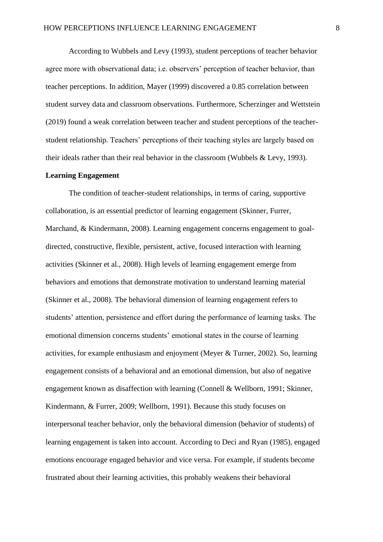According to Wubbels and Levy (1993), student perceptions of teacher behavior agree more with observational data; i.e. observers' perception of teacher behavior, than teacher perceptions. In addition, Mayer (1999) discovered a 0.85 correlation between student survey data and classroom observations. Furthermore, Scherzinger and Wettstein (2019) found a weak correlation between teacher and student perceptions of the teacherstudent relationship. Teachers' perceptions of their teaching styles are largely based on their ideals rather than their real behavior in the classroom (Wubbels & Levy, 1993).

### **Learning Engagement**

The condition of teacher-student relationships, in terms of caring, supportive collaboration, is an essential predictor of learning engagement (Skinner, Furrer, Marchand, & Kindermann, 2008). Learning engagement concerns engagement to goaldirected, constructive, flexible, persistent, active, focused interaction with learning activities (Skinner et al., 2008). High levels of learning engagement emerge from behaviors and emotions that demonstrate motivation to understand learning material (Skinner et al., 2008). The behavioral dimension of learning engagement refers to students' attention, persistence and effort during the performance of learning tasks. The emotional dimension concerns students' emotional states in the course of learning activities, for example enthusiasm and enjoyment (Meyer & Turner, 2002). So, learning engagement consists of a behavioral and an emotional dimension, but also of negative engagement known as disaffection with learning (Connell & Wellborn, 1991; Skinner, Kindermann, & Furrer, 2009; Wellborn, 1991). Because this study focuses on interpersonal teacher behavior, only the behavioral dimension (behavior of students) of learning engagement is taken into account. According to Deci and Ryan (1985), engaged emotions encourage engaged behavior and vice versa. For example, if students become frustrated about their learning activities, this probably weakens their behavioral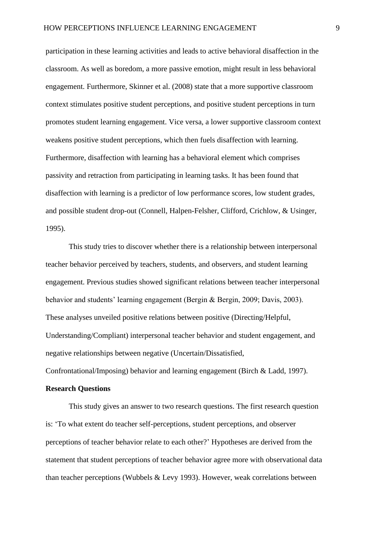participation in these learning activities and leads to active behavioral disaffection in the classroom. As well as boredom, a more passive emotion, might result in less behavioral engagement. Furthermore, Skinner et al. (2008) state that a more supportive classroom context stimulates positive student perceptions, and positive student perceptions in turn promotes student learning engagement. Vice versa, a lower supportive classroom context weakens positive student perceptions, which then fuels disaffection with learning. Furthermore, disaffection with learning has a behavioral element which comprises passivity and retraction from participating in learning tasks. It has been found that disaffection with learning is a predictor of low performance scores, low student grades, and possible student drop-out (Connell, Halpen-Felsher, Clifford, Crichlow, & Usinger, 1995).

This study tries to discover whether there is a relationship between interpersonal teacher behavior perceived by teachers, students, and observers, and student learning engagement. Previous studies showed significant relations between teacher interpersonal behavior and students' learning engagement (Bergin & Bergin, 2009; Davis, 2003). These analyses unveiled positive relations between positive (Directing/Helpful, Understanding/Compliant) interpersonal teacher behavior and student engagement, and negative relationships between negative (Uncertain/Dissatisfied, Confrontational/Imposing) behavior and learning engagement (Birch & Ladd, 1997).

#### **Research Questions**

This study gives an answer to two research questions. The first research question is: 'To what extent do teacher self-perceptions, student perceptions, and observer perceptions of teacher behavior relate to each other?' Hypotheses are derived from the statement that student perceptions of teacher behavior agree more with observational data than teacher perceptions (Wubbels & Levy 1993). However, weak correlations between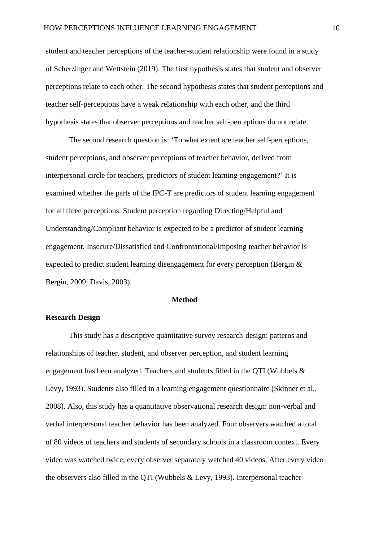student and teacher perceptions of the teacher-student relationship were found in a study of Scherzinger and Wettstein (2019). The first hypothesis states that student and observer perceptions relate to each other. The second hypothesis states that student perceptions and teacher self-perceptions have a weak relationship with each other, and the third hypothesis states that observer perceptions and teacher self-perceptions do not relate.

The second research question is: 'To what extent are teacher self-perceptions, student perceptions, and observer perceptions of teacher behavior, derived from interpersonal circle for teachers, predictors of student learning engagement?' It is examined whether the parts of the IPC-T are predictors of student learning engagement for all three perceptions. Student perception regarding Directing/Helpful and Understanding/Compliant behavior is expected to be a predictor of student learning engagement. Insecure/Dissatisfied and Confrontational/Imposing teacher behavior is expected to predict student learning disengagement for every perception (Bergin & Bergin, 2009; Davis, 2003).

#### **Method**

### **Research Design**

This study has a descriptive quantitative survey research-design: patterns and relationships of teacher, student, and observer perception, and student learning engagement has been analyzed. Teachers and students filled in the QTI (Wubbels & Levy, 1993). Students also filled in a learning engagement questionnaire (Skinner et al., 2008). Also, this study has a quantitative observational research design: non-verbal and verbal interpersonal teacher behavior has been analyzed. Four observers watched a total of 80 videos of teachers and students of secondary schools in a classroom context. Every video was watched twice; every observer separately watched 40 videos. After every video the observers also filled in the QTI (Wubbels & Levy, 1993). Interpersonal teacher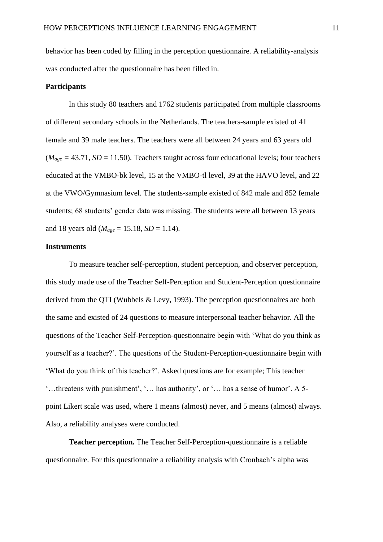behavior has been coded by filling in the perception questionnaire. A reliability-analysis was conducted after the questionnaire has been filled in.

### **Participants**

In this study 80 teachers and 1762 students participated from multiple classrooms of different secondary schools in the Netherlands. The teachers-sample existed of 41 female and 39 male teachers. The teachers were all between 24 years and 63 years old  $(M<sub>age</sub> = 43.71, SD = 11.50)$ . Teachers taught across four educational levels; four teachers educated at the VMBO-bk level, 15 at the VMBO-tl level, 39 at the HAVO level, and 22 at the VWO/Gymnasium level. The students-sample existed of 842 male and 852 female students; 68 students' gender data was missing. The students were all between 13 years and 18 years old ( $M_{\text{age}} = 15.18$ ,  $SD = 1.14$ ).

### **Instruments**

To measure teacher self-perception, student perception, and observer perception, this study made use of the Teacher Self-Perception and Student-Perception questionnaire derived from the QTI (Wubbels & Levy, 1993). The perception questionnaires are both the same and existed of 24 questions to measure interpersonal teacher behavior. All the questions of the Teacher Self-Perception-questionnaire begin with 'What do you think as yourself as a teacher?'. The questions of the Student-Perception-questionnaire begin with 'What do you think of this teacher?'. Asked questions are for example; This teacher '…threatens with punishment', '… has authority', or '… has a sense of humor'. A 5 point Likert scale was used, where 1 means (almost) never, and 5 means (almost) always. Also, a reliability analyses were conducted.

**Teacher perception.** The Teacher Self-Perception-questionnaire is a reliable questionnaire. For this questionnaire a reliability analysis with Cronbach's alpha was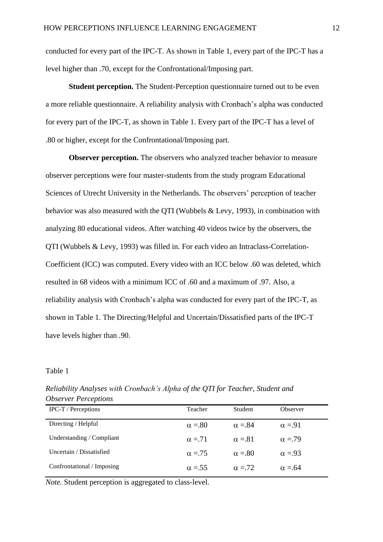conducted for every part of the IPC-T. As shown in Table 1, every part of the IPC-T has a level higher than .70, except for the Confrontational/Imposing part.

**Student perception.** The Student-Perception questionnaire turned out to be even a more reliable questionnaire. A reliability analysis with Cronbach's alpha was conducted for every part of the IPC-T, as shown in Table 1. Every part of the IPC-T has a level of .80 or higher, except for the Confrontational/Imposing part.

**Observer perception.** The observers who analyzed teacher behavior to measure observer perceptions were four master-students from the study program Educational Sciences of Utrecht University in the Netherlands. The observers' perception of teacher behavior was also measured with the QTI (Wubbels & Levy, 1993), in combination with analyzing 80 educational videos. After watching 40 videos twice by the observers, the QTI (Wubbels & Levy, 1993) was filled in. For each video an Intraclass-Correlation-Coefficient (ICC) was computed. Every video with an ICC below .60 was deleted, which resulted in 68 videos with a minimum ICC of .60 and a maximum of .97. Also, a reliability analysis with Cronbach's alpha was conducted for every part of the IPC-T, as shown in Table 1. The Directing/Helpful and Uncertain/Dissatisfied parts of the IPC-T have levels higher than .90.

## Table 1

| OUSCIVER L'ENCEPTIONS      |               |               |               |
|----------------------------|---------------|---------------|---------------|
| <b>IPC-T</b> / Perceptions | Teacher       | Student       | Observer      |
| Directing / Helpful        | $\alpha = 80$ | $\alpha = 84$ | $\alpha = 91$ |
| Understanding / Compliant  | $\alpha = 71$ | $\alpha = 81$ | $\alpha = 79$ |
| Uncertain / Dissatisfied   | $\alpha = 75$ | $\alpha = 80$ | $\alpha = 93$ |
| Confrontational / Imposing | $\alpha = 55$ | $\alpha = 72$ | $\alpha = 64$ |

*Reliability Analyses with Cronbach's Alpha of the QTI for Teacher, Student and Observer Perceptions*

*Note.* Student perception is aggregated to class-level.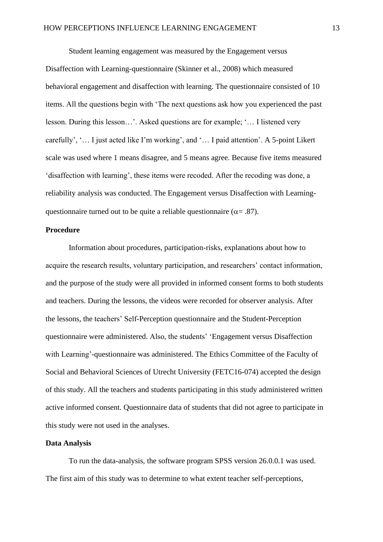Student learning engagement was measured by the Engagement versus Disaffection with Learning-questionnaire (Skinner et al., 2008) which measured behavioral engagement and disaffection with learning. The questionnaire consisted of 10 items. All the questions begin with 'The next questions ask how you experienced the past lesson. During this lesson…'. Asked questions are for example; '… I listened very carefully', '… I just acted like I'm working', and '… I paid attention'. A 5-point Likert scale was used where 1 means disagree, and 5 means agree. Because five items measured 'disaffection with learning', these items were recoded. After the recoding was done, a reliability analysis was conducted. The Engagement versus Disaffection with Learningquestionnaire turned out to be quite a reliable questionnaire ( $\alpha$ = .87).

## **Procedure**

Information about procedures, participation-risks, explanations about how to acquire the research results, voluntary participation, and researchers' contact information, and the purpose of the study were all provided in informed consent forms to both students and teachers. During the lessons, the videos were recorded for observer analysis. After the lessons, the teachers' Self-Perception questionnaire and the Student-Perception questionnaire were administered. Also, the students' 'Engagement versus Disaffection with Learning'-questionnaire was administered. The Ethics Committee of the Faculty of Social and Behavioral Sciences of Utrecht University (FETC16-074) accepted the design of this study. All the teachers and students participating in this study administered written active informed consent. Questionnaire data of students that did not agree to participate in this study were not used in the analyses.

### **Data Analysis**

To run the data-analysis, the software program SPSS version 26.0.0.1 was used. The first aim of this study was to determine to what extent teacher self-perceptions,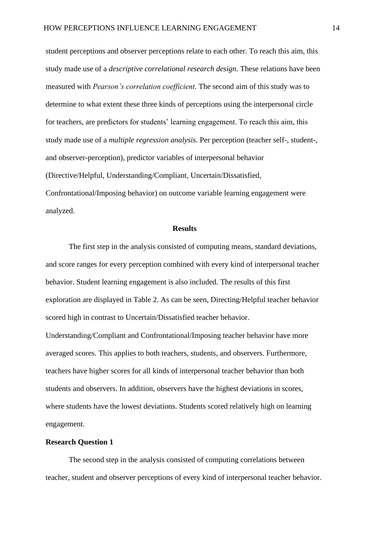student perceptions and observer perceptions relate to each other. To reach this aim, this study made use of a *descriptive correlational research design*. These relations have been measured with *Pearson's correlation coefficient*. The second aim of this study was to determine to what extent these three kinds of perceptions using the interpersonal circle for teachers, are predictors for students' learning engagement. To reach this aim, this study made use of a *multiple regression analysis*. Per perception (teacher self-, student-, and observer-perception), predictor variables of interpersonal behavior (Directive/Helpful, Understanding/Compliant, Uncertain/Dissatisfied, Confrontational/Imposing behavior) on outcome variable learning engagement were analyzed.

### **Results**

The first step in the analysis consisted of computing means, standard deviations, and score ranges for every perception combined with every kind of interpersonal teacher behavior. Student learning engagement is also included. The results of this first exploration are displayed in Table 2. As can be seen, Directing/Helpful teacher behavior scored high in contrast to Uncertain/Dissatisfied teacher behavior.

Understanding/Compliant and Confrontational/Imposing teacher behavior have more averaged scores. This applies to both teachers, students, and observers. Furthermore, teachers have higher scores for all kinds of interpersonal teacher behavior than both students and observers. In addition, observers have the highest deviations in scores, where students have the lowest deviations. Students scored relatively high on learning engagement.

## **Research Question 1**

The second step in the analysis consisted of computing correlations between teacher, student and observer perceptions of every kind of interpersonal teacher behavior.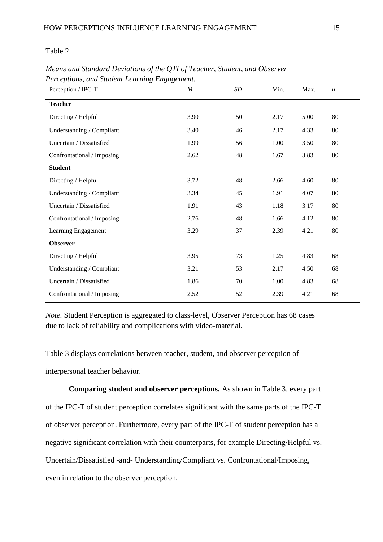Table 2

| Perception / IPC-T         | $\cal M$ | SD  | Min. | Max. | $\boldsymbol{n}$ |
|----------------------------|----------|-----|------|------|------------------|
| <b>Teacher</b>             |          |     |      |      |                  |
| Directing / Helpful        | 3.90     | .50 | 2.17 | 5.00 | 80               |
| Understanding / Compliant  | 3.40     | .46 | 2.17 | 4.33 | 80               |
| Uncertain / Dissatisfied   | 1.99     | .56 | 1.00 | 3.50 | 80               |
| Confrontational / Imposing | 2.62     | .48 | 1.67 | 3.83 | 80               |
| <b>Student</b>             |          |     |      |      |                  |
| Directing / Helpful        | 3.72     | .48 | 2.66 | 4.60 | 80               |
| Understanding / Compliant  | 3.34     | .45 | 1.91 | 4.07 | 80               |
| Uncertain / Dissatisfied   | 1.91     | .43 | 1.18 | 3.17 | 80               |
| Confrontational / Imposing | 2.76     | .48 | 1.66 | 4.12 | 80               |
| Learning Engagement        | 3.29     | .37 | 2.39 | 4.21 | 80               |
| <b>Observer</b>            |          |     |      |      |                  |
| Directing / Helpful        | 3.95     | .73 | 1.25 | 4.83 | 68               |
| Understanding / Compliant  | 3.21     | .53 | 2.17 | 4.50 | 68               |
| Uncertain / Dissatisfied   | 1.86     | .70 | 1.00 | 4.83 | 68               |
| Confrontational / Imposing | 2.52     | .52 | 2.39 | 4.21 | 68               |

*Means and Standard Deviations of the QTI of Teacher, Student, and Observer Perceptions, and Student Learning Engagement.* 

*Note.* Student Perception is aggregated to class-level, Observer Perception has 68 cases due to lack of reliability and complications with video-material.

Table 3 displays correlations between teacher, student, and observer perception of interpersonal teacher behavior.

**Comparing student and observer perceptions.** As shown in Table 3, every part of the IPC-T of student perception correlates significant with the same parts of the IPC-T of observer perception. Furthermore, every part of the IPC-T of student perception has a negative significant correlation with their counterparts, for example Directing/Helpful vs. Uncertain/Dissatisfied -and- Understanding/Compliant vs. Confrontational/Imposing, even in relation to the observer perception.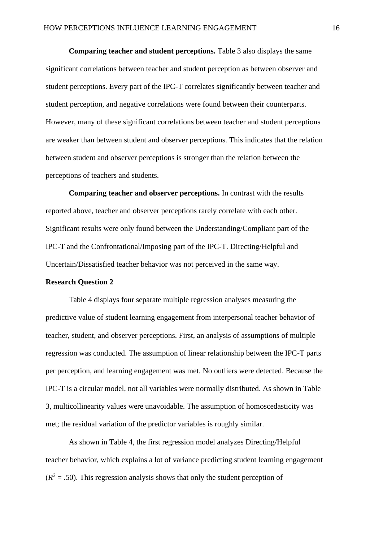**Comparing teacher and student perceptions.** Table 3 also displays the same significant correlations between teacher and student perception as between observer and student perceptions. Every part of the IPC-T correlates significantly between teacher and student perception, and negative correlations were found between their counterparts. However, many of these significant correlations between teacher and student perceptions are weaker than between student and observer perceptions. This indicates that the relation between student and observer perceptions is stronger than the relation between the perceptions of teachers and students.

**Comparing teacher and observer perceptions.** In contrast with the results reported above, teacher and observer perceptions rarely correlate with each other. Significant results were only found between the Understanding/Compliant part of the IPC-T and the Confrontational/Imposing part of the IPC-T. Directing/Helpful and Uncertain/Dissatisfied teacher behavior was not perceived in the same way.

### **Research Question 2**

Table 4 displays four separate multiple regression analyses measuring the predictive value of student learning engagement from interpersonal teacher behavior of teacher, student, and observer perceptions. First, an analysis of assumptions of multiple regression was conducted. The assumption of linear relationship between the IPC-T parts per perception, and learning engagement was met. No outliers were detected. Because the IPC-T is a circular model, not all variables were normally distributed. As shown in Table 3, multicollinearity values were unavoidable. The assumption of homoscedasticity was met; the residual variation of the predictor variables is roughly similar.

As shown in Table 4, the first regression model analyzes Directing/Helpful teacher behavior, which explains a lot of variance predicting student learning engagement  $(R<sup>2</sup> = .50)$ . This regression analysis shows that only the student perception of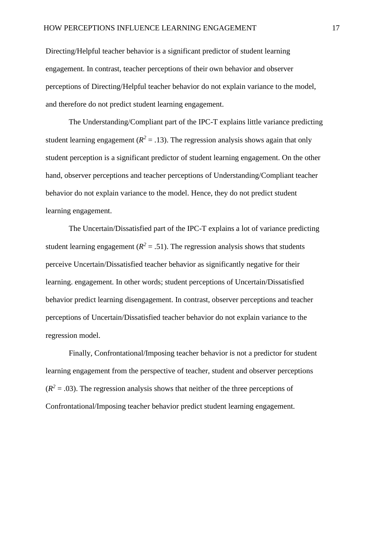Directing/Helpful teacher behavior is a significant predictor of student learning engagement. In contrast, teacher perceptions of their own behavior and observer perceptions of Directing/Helpful teacher behavior do not explain variance to the model, and therefore do not predict student learning engagement.

The Understanding/Compliant part of the IPC-T explains little variance predicting student learning engagement ( $R^2 = .13$ ). The regression analysis shows again that only student perception is a significant predictor of student learning engagement. On the other hand, observer perceptions and teacher perceptions of Understanding/Compliant teacher behavior do not explain variance to the model. Hence, they do not predict student learning engagement.

The Uncertain/Dissatisfied part of the IPC-T explains a lot of variance predicting student learning engagement ( $R^2 = .51$ ). The regression analysis shows that students perceive Uncertain/Dissatisfied teacher behavior as significantly negative for their learning. engagement. In other words; student perceptions of Uncertain/Dissatisfied behavior predict learning disengagement. In contrast, observer perceptions and teacher perceptions of Uncertain/Dissatisfied teacher behavior do not explain variance to the regression model.

Finally, Confrontational/Imposing teacher behavior is not a predictor for student learning engagement from the perspective of teacher, student and observer perceptions  $(R<sup>2</sup> = .03)$ . The regression analysis shows that neither of the three perceptions of Confrontational/Imposing teacher behavior predict student learning engagement.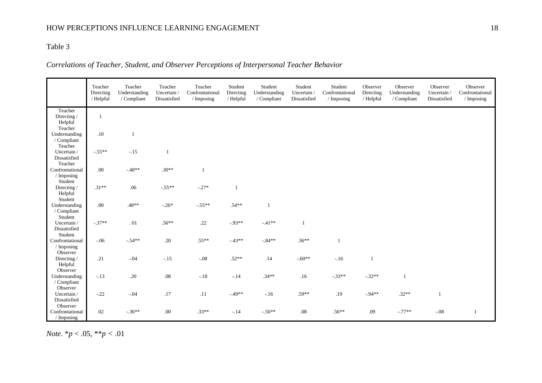## HOW PERCEPTIONS INFLUENCE LEARNING ENGAGEMENT 18

## Table 3

## *Correlations of Teacher, Student, and Observer Perceptions of Interpersonal Teacher Behavior*

|                                              | Teacher<br>Directing<br>/ Helpful | Teacher<br>Understanding<br>/ Compliant | Teacher<br>Uncertain /<br>Dissatisfied | Teacher<br>Confrontational<br>/ Imposing | Student<br>Directing<br>/ Helpful | Student<br>Understanding<br>/ Compliant | Student<br>Uncertain /<br>Dissatisfied | Student<br>Confrontational<br>/ Imposing | Observer<br>Directing<br>/ Helpful | Observer<br>Understanding<br>/ Compliant | Observer<br>Uncertain /<br>Dissatisfied | Observer<br>Confrontational<br>$\sqrt{}$ Imposing |
|----------------------------------------------|-----------------------------------|-----------------------------------------|----------------------------------------|------------------------------------------|-----------------------------------|-----------------------------------------|----------------------------------------|------------------------------------------|------------------------------------|------------------------------------------|-----------------------------------------|---------------------------------------------------|
| Teacher<br>Directing /<br>Helpful<br>Teacher | $\mathbf{1}$                      |                                         |                                        |                                          |                                   |                                         |                                        |                                          |                                    |                                          |                                         |                                                   |
| Understanding<br>/ Compliant<br>Teacher      | $.10\,$                           | -1                                      |                                        |                                          |                                   |                                         |                                        |                                          |                                    |                                          |                                         |                                                   |
| Uncertain /<br>Dissatisfied<br>Teacher       | $-.55**$                          | $-.15$                                  | $\mathbf{1}$                           |                                          |                                   |                                         |                                        |                                          |                                    |                                          |                                         |                                                   |
| Confrontational<br>/ Imposing<br>Student     | $.00\,$                           | $-48**$                                 | $.30**$                                | $\mathbf{1}$                             |                                   |                                         |                                        |                                          |                                    |                                          |                                         |                                                   |
| Directing/<br>Helpful<br>Student             | $.31**$                           | .06                                     | $-.55**$                               | $-.27*$                                  | $\mathbf{1}$                      |                                         |                                        |                                          |                                    |                                          |                                         |                                                   |
| Understanding<br>/ Compliant<br>Student      | $.00\,$                           | $.48**$                                 | $-.26*$                                | $-.55**$                                 | $.54**$                           | 1                                       |                                        |                                          |                                    |                                          |                                         |                                                   |
| Uncertain /<br>Dissatisfied<br>Student       | $-.37**$                          | $\,$ . $01$                             | $.56**$                                | .22                                      | $-.93**$                          | $-.41**$                                | -1                                     |                                          |                                    |                                          |                                         |                                                   |
| Confrontational<br>/ Imposing<br>Observer    | $-.06$                            | $-.54**$                                | $.20\,$                                | $.55**$                                  | $-43**$                           | $-.84**$                                | $.36**$                                | $\mathbf{1}$                             |                                    |                                          |                                         |                                                   |
| Directing/<br>Helpful<br>Observer            | .21                               | $-.04$                                  | $-.15$                                 | $-.08$                                   | $.52**$                           | .14                                     | $-.60**$                               | $-.16$                                   | $\mathbf{1}$                       |                                          |                                         |                                                   |
| Understanding<br>/ Compliant<br>Observer     | $-.13$                            | $.20\,$                                 | $.08\,$                                | $-.18$                                   | $-.14$                            | $.34**$                                 | .16                                    | $-.33**$                                 | $-.32**$                           | $\overline{1}$                           |                                         |                                                   |
| Uncertain /<br>Dissatisfied<br>Observer      | $-.22$                            | $-.04$                                  | $.17$                                  | .11                                      | $-49**$                           | $-.16$                                  | $.59**$                                | .19                                      | $-94**$                            | $.32**$                                  | $\mathbf{1}$                            |                                                   |
| Confrontational<br>/ Imposing                | .02                               | $-.36**$                                | .00.                                   | $.33**$                                  | $-.14$                            | $-.56**$                                | $.08\,$                                | $.56**$                                  | .09                                | $-.77**$                                 | $-.08$                                  | -1                                                |

*Note*. \**p* < .05, \*\**p <* .01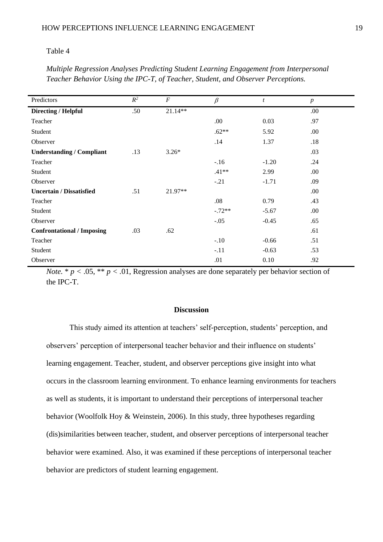#### Table 4

| Predictors                        | $\mathbb{R}^2$ | $\cal F$  | $\beta$  | t       | $\boldsymbol{p}$ |
|-----------------------------------|----------------|-----------|----------|---------|------------------|
| Directing / Helpful               | .50            | 21.14**   |          |         | .00              |
| Teacher                           |                |           | .00      | 0.03    | .97              |
| Student                           |                |           | $.62**$  | 5.92    | .00              |
| Observer                          |                |           | .14      | 1.37    | .18              |
| <b>Understanding / Compliant</b>  | .13            | $3.26*$   |          |         | .03              |
| Teacher                           |                |           | $-.16$   | $-1.20$ | .24              |
| Student                           |                |           | $.41**$  | 2.99    | .00              |
| Observer                          |                |           | $-.21$   | $-1.71$ | .09              |
| <b>Uncertain / Dissatisfied</b>   | .51            | $21.97**$ |          |         | .00              |
| Teacher                           |                |           | .08      | 0.79    | .43              |
| Student                           |                |           | $-.72**$ | $-5.67$ | .00              |
| Observer                          |                |           | $-.05$   | $-0.45$ | .65              |
| <b>Confrontational / Imposing</b> | .03            | .62       |          |         | .61              |
| Teacher                           |                |           | $-.10$   | $-0.66$ | .51              |
| Student                           |                |           | $-.11$   | $-0.63$ | .53              |
| Observer                          |                |           | .01      | 0.10    | .92              |

*Multiple Regression Analyses Predicting Student Learning Engagement from Interpersonal Teacher Behavior Using the IPC-T, of Teacher, Student, and Observer Perceptions.* 

*Note.*  $* p < .05$ ,  $** p < .01$ , Regression analyses are done separately per behavior section of the IPC-T.

### **Discussion**

This study aimed its attention at teachers' self-perception, students' perception, and observers' perception of interpersonal teacher behavior and their influence on students' learning engagement. Teacher, student, and observer perceptions give insight into what occurs in the classroom learning environment. To enhance learning environments for teachers as well as students, it is important to understand their perceptions of interpersonal teacher behavior (Woolfolk Hoy & Weinstein, 2006). In this study, three hypotheses regarding (dis)similarities between teacher, student, and observer perceptions of interpersonal teacher behavior were examined. Also, it was examined if these perceptions of interpersonal teacher behavior are predictors of student learning engagement.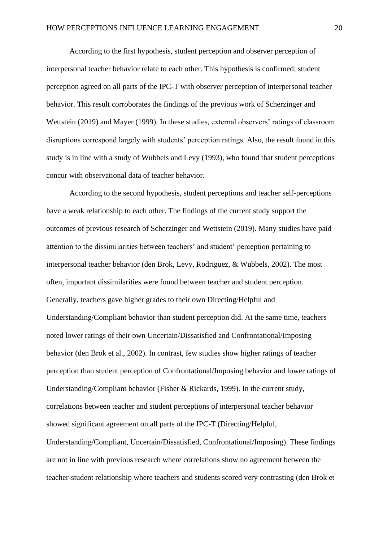According to the first hypothesis, student perception and observer perception of interpersonal teacher behavior relate to each other. This hypothesis is confirmed; student perception agreed on all parts of the IPC-T with observer perception of interpersonal teacher behavior. This result corroborates the findings of the previous work of Scherzinger and Wettstein (2019) and Mayer (1999). In these studies, external observers' ratings of classroom disruptions correspond largely with students' perception ratings. Also, the result found in this study is in line with a study of Wubbels and Levy (1993), who found that student perceptions concur with observational data of teacher behavior.

According to the second hypothesis, student perceptions and teacher self-perceptions have a weak relationship to each other. The findings of the current study support the outcomes of previous research of Scherzinger and Wettstein (2019). Many studies have paid attention to the dissimilarities between teachers' and student' perception pertaining to interpersonal teacher behavior (den Brok, Levy, Rodriguez, & Wubbels, 2002). The most often, important dissimilarities were found between teacher and student perception. Generally, teachers gave higher grades to their own Directing/Helpful and Understanding/Compliant behavior than student perception did. At the same time, teachers noted lower ratings of their own Uncertain/Dissatisfied and Confrontational/Imposing behavior (den Brok et al., 2002). In contrast, few studies show higher ratings of teacher perception than student perception of Confrontational/Imposing behavior and lower ratings of Understanding/Compliant behavior (Fisher & Rickards, 1999). In the current study, correlations between teacher and student perceptions of interpersonal teacher behavior showed significant agreement on all parts of the IPC-T (Directing/Helpful, Understanding/Compliant, Uncertain/Dissatisfied, Confrontational/Imposing). These findings are not in line with previous research where correlations show no agreement between the teacher-student relationship where teachers and students scored very contrasting (den Brok et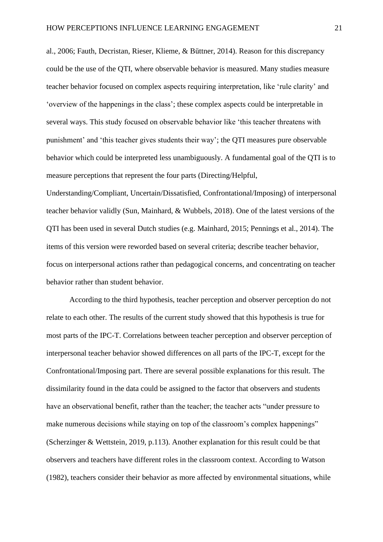al., 2006; Fauth, Decristan, Rieser, Klieme, & Büttner, 2014). Reason for this discrepancy could be the use of the QTI, where observable behavior is measured. Many studies measure teacher behavior focused on complex aspects requiring interpretation, like 'rule clarity' and 'overview of the happenings in the class'; these complex aspects could be interpretable in several ways. This study focused on observable behavior like 'this teacher threatens with punishment' and 'this teacher gives students their way'; the QTI measures pure observable behavior which could be interpreted less unambiguously. A fundamental goal of the QTI is to measure perceptions that represent the four parts (Directing/Helpful,

Understanding/Compliant, Uncertain/Dissatisfied, Confrontational/Imposing) of interpersonal teacher behavior validly (Sun, Mainhard, & Wubbels, 2018). One of the latest versions of the QTI has been used in several Dutch studies (e.g. Mainhard, 2015; Pennings et al., 2014). The items of this version were reworded based on several criteria; describe teacher behavior, focus on interpersonal actions rather than pedagogical concerns, and concentrating on teacher behavior rather than student behavior.

According to the third hypothesis, teacher perception and observer perception do not relate to each other. The results of the current study showed that this hypothesis is true for most parts of the IPC-T. Correlations between teacher perception and observer perception of interpersonal teacher behavior showed differences on all parts of the IPC-T, except for the Confrontational/Imposing part. There are several possible explanations for this result. The dissimilarity found in the data could be assigned to the factor that observers and students have an observational benefit, rather than the teacher; the teacher acts "under pressure to make numerous decisions while staying on top of the classroom's complex happenings" (Scherzinger & Wettstein, 2019, p.113). Another explanation for this result could be that observers and teachers have different roles in the classroom context. According to Watson (1982), teachers consider their behavior as more affected by environmental situations, while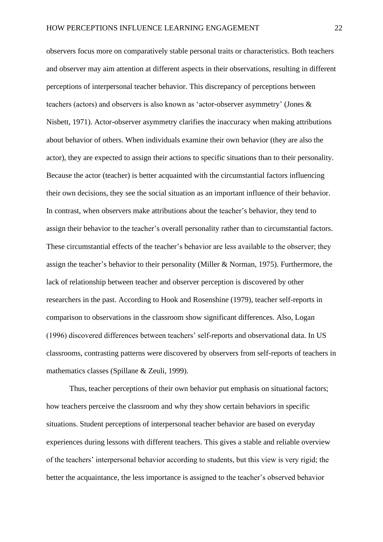observers focus more on comparatively stable personal traits or characteristics. Both teachers and observer may aim attention at different aspects in their observations, resulting in different perceptions of interpersonal teacher behavior. This discrepancy of perceptions between teachers (actors) and observers is also known as 'actor-observer asymmetry' (Jones & Nisbett, 1971). Actor-observer asymmetry clarifies the inaccuracy when making attributions about behavior of others. When individuals examine their own behavior (they are also the actor), they are expected to assign their actions to specific situations than to their personality. Because the actor (teacher) is better acquainted with the circumstantial factors influencing their own decisions, they see the social situation as an important influence of their behavior. In contrast, when observers make attributions about the teacher's behavior, they tend to assign their behavior to the teacher's overall personality rather than to circumstantial factors. These circumstantial effects of the teacher's behavior are less available to the observer; they assign the teacher's behavior to their personality (Miller & Norman, 1975). Furthermore, the lack of relationship between teacher and observer perception is discovered by other researchers in the past. According to Hook and Rosenshine (1979), teacher self-reports in comparison to observations in the classroom show significant differences. Also, Logan (1996) discovered differences between teachers' self-reports and observational data. In US classrooms, contrasting patterns were discovered by observers from self-reports of teachers in mathematics classes (Spillane & Zeuli, 1999).

Thus, teacher perceptions of their own behavior put emphasis on situational factors; how teachers perceive the classroom and why they show certain behaviors in specific situations. Student perceptions of interpersonal teacher behavior are based on everyday experiences during lessons with different teachers. This gives a stable and reliable overview of the teachers' interpersonal behavior according to students, but this view is very rigid; the better the acquaintance, the less importance is assigned to the teacher's observed behavior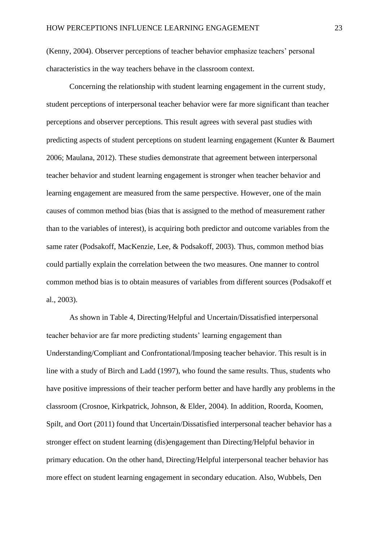(Kenny, 2004). Observer perceptions of teacher behavior emphasize teachers' personal characteristics in the way teachers behave in the classroom context.

Concerning the relationship with student learning engagement in the current study, student perceptions of interpersonal teacher behavior were far more significant than teacher perceptions and observer perceptions. This result agrees with several past studies with predicting aspects of student perceptions on student learning engagement (Kunter & Baumert 2006; Maulana, 2012). These studies demonstrate that agreement between interpersonal teacher behavior and student learning engagement is stronger when teacher behavior and learning engagement are measured from the same perspective. However, one of the main causes of common method bias (bias that is assigned to the method of measurement rather than to the variables of interest), is acquiring both predictor and outcome variables from the same rater (Podsakoff, MacKenzie, Lee, & Podsakoff, 2003). Thus, common method bias could partially explain the correlation between the two measures. One manner to control common method bias is to obtain measures of variables from different sources (Podsakoff et al., 2003).

As shown in Table 4, Directing/Helpful and Uncertain/Dissatisfied interpersonal teacher behavior are far more predicting students' learning engagement than Understanding/Compliant and Confrontational/Imposing teacher behavior. This result is in line with a study of Birch and Ladd (1997), who found the same results. Thus, students who have positive impressions of their teacher perform better and have hardly any problems in the classroom (Crosnoe, Kirkpatrick, Johnson, & Elder, 2004). In addition, Roorda, Koomen, Spilt, and Oort (2011) found that Uncertain/Dissatisfied interpersonal teacher behavior has a stronger effect on student learning (dis)engagement than Directing/Helpful behavior in primary education. On the other hand, Directing/Helpful interpersonal teacher behavior has more effect on student learning engagement in secondary education. Also, Wubbels, Den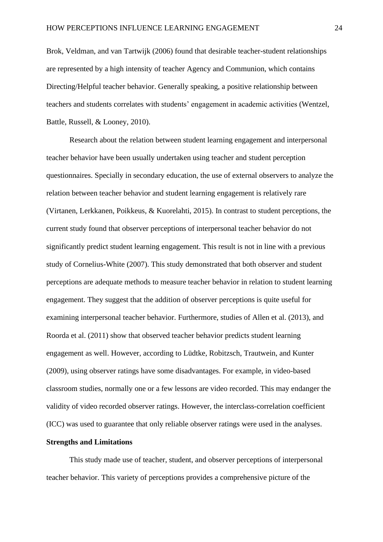Brok, Veldman, and van Tartwijk (2006) found that desirable teacher-student relationships are represented by a high intensity of teacher Agency and Communion, which contains Directing/Helpful teacher behavior. Generally speaking, a positive relationship between teachers and students correlates with students' engagement in academic activities (Wentzel, Battle, Russell, & Looney, 2010).

Research about the relation between student learning engagement and interpersonal teacher behavior have been usually undertaken using teacher and student perception questionnaires. Specially in secondary education, the use of external observers to analyze the relation between teacher behavior and student learning engagement is relatively rare (Virtanen, Lerkkanen, Poikkeus, & Kuorelahti, 2015). In contrast to student perceptions, the current study found that observer perceptions of interpersonal teacher behavior do not significantly predict student learning engagement. This result is not in line with a previous study of Cornelius-White (2007). This study demonstrated that both observer and student perceptions are adequate methods to measure teacher behavior in relation to student learning engagement. They suggest that the addition of observer perceptions is quite useful for examining interpersonal teacher behavior. Furthermore, studies of Allen et al. (2013), and Roorda et al. (2011) show that observed teacher behavior predicts student learning engagement as well. However, according to Lüdtke, Robitzsch, Trautwein, and Kunter (2009), using observer ratings have some disadvantages. For example, in video-based classroom studies, normally one or a few lessons are video recorded. This may endanger the validity of video recorded observer ratings. However, the interclass-correlation coefficient (ICC) was used to guarantee that only reliable observer ratings were used in the analyses.

## **Strengths and Limitations**

This study made use of teacher, student, and observer perceptions of interpersonal teacher behavior. This variety of perceptions provides a comprehensive picture of the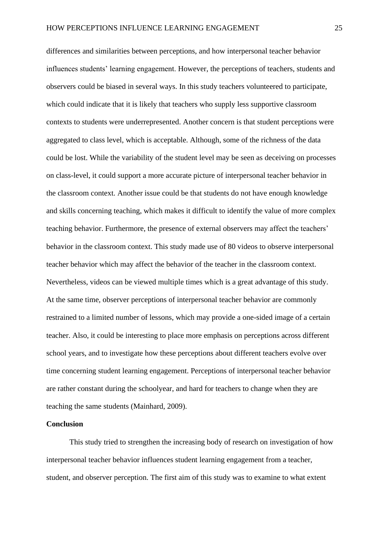differences and similarities between perceptions, and how interpersonal teacher behavior influences students' learning engagement. However, the perceptions of teachers, students and observers could be biased in several ways. In this study teachers volunteered to participate, which could indicate that it is likely that teachers who supply less supportive classroom contexts to students were underrepresented. Another concern is that student perceptions were aggregated to class level, which is acceptable. Although, some of the richness of the data could be lost. While the variability of the student level may be seen as deceiving on processes on class-level, it could support a more accurate picture of interpersonal teacher behavior in the classroom context. Another issue could be that students do not have enough knowledge and skills concerning teaching, which makes it difficult to identify the value of more complex teaching behavior. Furthermore, the presence of external observers may affect the teachers' behavior in the classroom context. This study made use of 80 videos to observe interpersonal teacher behavior which may affect the behavior of the teacher in the classroom context. Nevertheless, videos can be viewed multiple times which is a great advantage of this study. At the same time, observer perceptions of interpersonal teacher behavior are commonly restrained to a limited number of lessons, which may provide a one-sided image of a certain teacher. Also, it could be interesting to place more emphasis on perceptions across different school years, and to investigate how these perceptions about different teachers evolve over time concerning student learning engagement. Perceptions of interpersonal teacher behavior are rather constant during the schoolyear, and hard for teachers to change when they are teaching the same students (Mainhard, 2009).

#### **Conclusion**

This study tried to strengthen the increasing body of research on investigation of how interpersonal teacher behavior influences student learning engagement from a teacher, student, and observer perception. The first aim of this study was to examine to what extent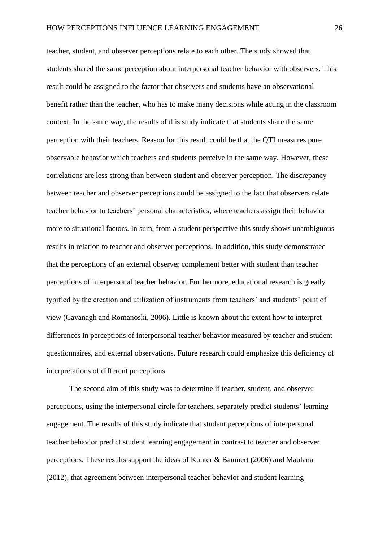teacher, student, and observer perceptions relate to each other. The study showed that students shared the same perception about interpersonal teacher behavior with observers. This result could be assigned to the factor that observers and students have an observational benefit rather than the teacher, who has to make many decisions while acting in the classroom context. In the same way, the results of this study indicate that students share the same perception with their teachers. Reason for this result could be that the QTI measures pure observable behavior which teachers and students perceive in the same way. However, these correlations are less strong than between student and observer perception. The discrepancy between teacher and observer perceptions could be assigned to the fact that observers relate teacher behavior to teachers' personal characteristics, where teachers assign their behavior more to situational factors. In sum, from a student perspective this study shows unambiguous results in relation to teacher and observer perceptions. In addition, this study demonstrated that the perceptions of an external observer complement better with student than teacher perceptions of interpersonal teacher behavior. Furthermore, educational research is greatly typified by the creation and utilization of instruments from teachers' and students' point of view (Cavanagh and Romanoski, 2006). Little is known about the extent how to interpret differences in perceptions of interpersonal teacher behavior measured by teacher and student questionnaires, and external observations. Future research could emphasize this deficiency of interpretations of different perceptions.

The second aim of this study was to determine if teacher, student, and observer perceptions, using the interpersonal circle for teachers, separately predict students' learning engagement. The results of this study indicate that student perceptions of interpersonal teacher behavior predict student learning engagement in contrast to teacher and observer perceptions. These results support the ideas of Kunter & Baumert (2006) and Maulana (2012), that agreement between interpersonal teacher behavior and student learning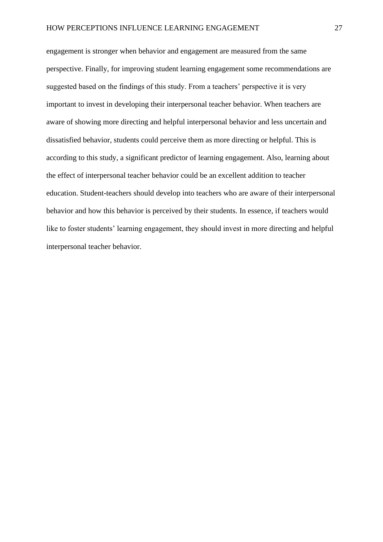engagement is stronger when behavior and engagement are measured from the same perspective. Finally, for improving student learning engagement some recommendations are suggested based on the findings of this study. From a teachers' perspective it is very important to invest in developing their interpersonal teacher behavior. When teachers are aware of showing more directing and helpful interpersonal behavior and less uncertain and dissatisfied behavior, students could perceive them as more directing or helpful. This is according to this study, a significant predictor of learning engagement. Also, learning about the effect of interpersonal teacher behavior could be an excellent addition to teacher education. Student-teachers should develop into teachers who are aware of their interpersonal behavior and how this behavior is perceived by their students. In essence, if teachers would like to foster students' learning engagement, they should invest in more directing and helpful interpersonal teacher behavior.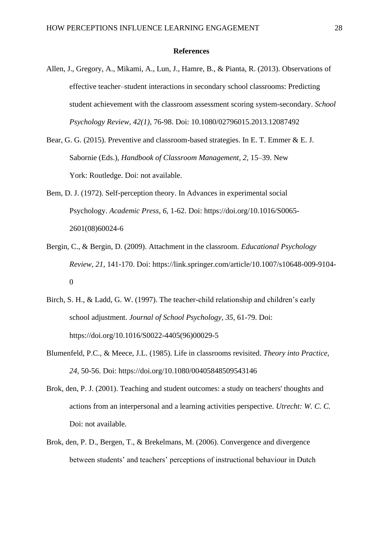#### **References**

- Allen, J., Gregory, A., Mikami, A., Lun, J., Hamre, B., & Pianta, R. (2013). Observations of effective teacher–student interactions in secondary school classrooms: Predicting student achievement with the classroom assessment scoring system-secondary. *School Psychology Review, 42(1),* 76-98. Doi: 10.1080/02796015.2013.12087492
- Bear, G. G. (2015). Preventive and classroom-based strategies. In E. T. Emmer & E. J. Sabornie (Eds.), *Handbook of Classroom Management*, *2,* 15–39. New York: Routledge. Doi: not available.
- Bem, D. J. (1972). Self-perception theory. In Advances in experimental social Psychology. *Academic Press, 6*, 1-62. Doi: https://doi.org/10.1016/S0065- 2601(08)60024-6
- Bergin, C., & Bergin, D. (2009). Attachment in the classroom. *Educational Psychology Review, 21,* 141-170. Doi: https://link.springer.com/article/10.1007/s10648-009-9104- 0
- Birch, S. H., & Ladd, G. W. (1997). The teacher-child relationship and children's early school adjustment. *Journal of School Psychology, 35,* 61-79. Doi: https://doi.org/10.1016/S0022-4405(96)00029-5
- Blumenfeld, P.C., & Meece, J.L. (1985). Life in classrooms revisited. *Theory into Practice, 24*, 50-56. Doi: https://doi.org/10.1080/00405848509543146
- Brok, den, P. J. (2001). Teaching and student outcomes: a study on teachers' thoughts and actions from an interpersonal and a learning activities perspective. *Utrecht: W. C. C.* Doi: not available.
- Brok, den, P. D., Bergen, T., & Brekelmans, M. (2006). Convergence and divergence between students' and teachers' perceptions of instructional behaviour in Dutch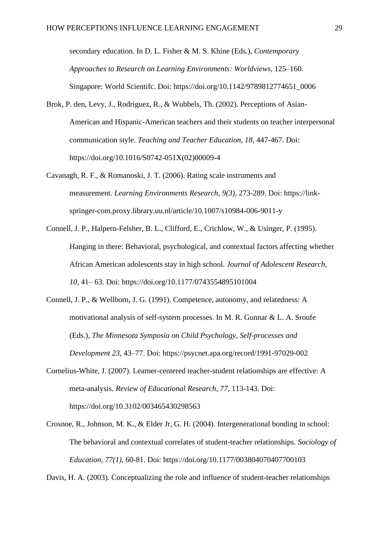secondary education. In D. L. Fisher & M. S. Khine (Eds.), *Contemporary Approaches to Research on Learning Environments: Worldviews,* 125–160. Singapore: World Scientifc. Doi: https://doi.org/10.1142/9789812774651\_0006

- Brok, P. den, Levy, J., Rodriguez, R., & Wubbels, Th. (2002). Perceptions of Asian-American and Hispanic-American teachers and their students on teacher interpersonal communication style. *Teaching and Teacher Education, 18,* 447-467. Doi: https://doi.org/10.1016/S0742-051X(02)00009-4
- Cavanagh, R. F., & Romanoski, J. T. (2006). Rating scale instruments and measurement. *Learning Environments Research, 9(3)*, 273-289. Doi: https://linkspringer-com.proxy.library.uu.nl/article/10.1007/s10984-006-9011-y
- Connell, J. P., Halpern-Felsher, B. L., Clifford, E., Crichlow, W., & Usinger, P. (1995). Hanging in there: Behavioral, psychological, and contextual factors affecting whether African American adolescents stay in high school. *Journal of Adolescent Research, 10*, 41– 63. Doi: https://doi.org/10.1177/0743554895101004
- Connell, J. P., & Wellborn, J. G. (1991). Competence, autonomy, and relatedness: A motivational analysis of self-system processes. In M. R. Gunnar & L. A. Sroufe (Eds.), *The Minnesota Symposia on Child Psychology, Self-processes and Development 23*, 43–77. Doi: https://psycnet.apa.org/record/1991-97029-002
- Cornelius-White, J. (2007). Learner-centered teacher-student relationships are effective: A meta-analysis*. Review of Educational Research, 77,* 113-143. Doi: https://doi.org/10.3102/003465430298563
- Crosnoe, R., Johnson, M. K., & Elder Jr, G. H. (2004). Intergenerational bonding in school: The behavioral and contextual correlates of student-teacher relationships. *Sociology of Education, 77(1)*, 60-81. Doi: https://doi.org/10.1177/003804070407700103

Davis, H. A. (2003). Conceptualizing the role and influence of student-teacher relationships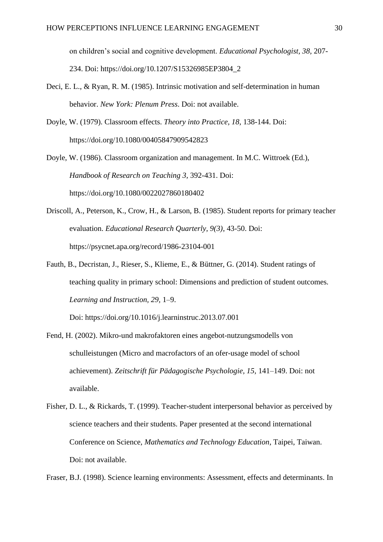on children's social and cognitive development. *Educational Psychologist, 38,* 207- 234. Doi: https://doi.org/10.1207/S15326985EP3804\_2

- Deci, E. L., & Ryan, R. M. (1985). Intrinsic motivation and self-determination in human behavior. *New York: Plenum Press*. Doi: not available.
- Doyle, W. (1979). Classroom effects. *Theory into Practice, 18,* 138-144. Doi: https://doi.org/10.1080/00405847909542823
- Doyle, W. (1986). Classroom organization and management. In M.C. Wittroek (Ed.), *Handbook of Research on Teaching 3,* 392-431. Doi: https://doi.org/10.1080/0022027860180402
- Driscoll, A., Peterson, K., Crow, H., & Larson, B. (1985). Student reports for primary teacher evaluation. *Educational Research Quarterly, 9(3)*, 43-50. Doi: https://psycnet.apa.org/record/1986-23104-001
- Fauth, B., Decristan, J., Rieser, S., Klieme, E., & Büttner, G. (2014). Student ratings of teaching quality in primary school: Dimensions and prediction of student outcomes*. Learning and Instruction, 29,* 1–9.

Doi: https://doi.org/10.1016/j.learninstruc.2013.07.001

- Fend, H. (2002). Mikro-und makrofaktoren eines angebot-nutzungsmodells von schulleistungen (Micro and macrofactors of an ofer-usage model of school achievement). *Zeitschrift für Pädagogische Psychologie, 15,* 141–149. Doi: not available.
- Fisher, D. L., & Rickards, T. (1999). Teacher-student interpersonal behavior as perceived by science teachers and their students. Paper presented at the second international Conference on Science*, Mathematics and Technology Education*, Taipei, Taiwan. Doi: not available.

Fraser, B.J. (1998). Science learning environments: Assessment, effects and determinants. In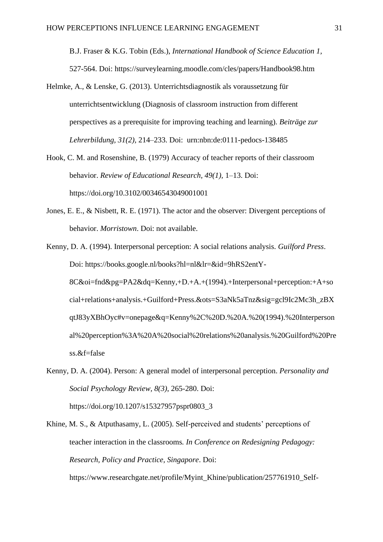B.J. Fraser & K.G. Tobin (Eds.), *International Handbook of Science Education 1,* 527-564. Doi: https://surveylearning.moodle.com/cles/papers/Handbook98.htm

- Helmke, A., & Lenske, G. (2013). Unterrichtsdiagnostik als voraussetzung für unterrichtsentwicklung (Diagnosis of classroom instruction from different perspectives as a prerequisite for improving teaching and learning). *Beiträge zur Lehrerbildung, 31(2),* 214–233. Doi: urn:nbn:de:0111-pedocs-138485
- Hook, C. M. and Rosenshine, B. (1979) Accuracy of teacher reports of their classroom behavior. *Review of Educational Research, 49(1),* 1–13. Doi: https://doi.org/10.3102/00346543049001001
- Jones, E. E., & Nisbett, R. E. (1971). The actor and the observer: Divergent perceptions of behavior. *Morristown*. Doi: not available.
- Kenny, D. A. (1994). Interpersonal perception: A social relations analysis. *Guilford Press*. Doi: https://books.google.nl/books?hl=nl&lr=&id=9hRS2entY-8C&oi=fnd&pg=PA2&dq=Kenny,+D.+A.+(1994).+Interpersonal+perception:+A+so cial+relations+analysis.+Guilford+Press.&ots=S3aNk5aTnz&sig=gcl9Ic2Mc3h\_zBX qtJ83yXBhOyc#v=onepage&q=Kenny%2C%20D.%20A.%20(1994).%20Interperson al%20perception%3A%20A%20social%20relations%20analysis.%20Guilford%20Pre ss.&f=false
- Kenny, D. A. (2004). Person: A general model of interpersonal perception. *Personality and Social Psychology Review, 8(3)*, 265-280. Doi: https://doi.org/10.1207/s15327957pspr0803\_3
- Khine, M. S., & Atputhasamy, L. (2005). Self-perceived and students' perceptions of teacher interaction in the classrooms*. In Conference on Redesigning Pedagogy: Research, Policy and Practice, Singapore*. Doi:

https://www.researchgate.net/profile/Myint\_Khine/publication/257761910\_Self-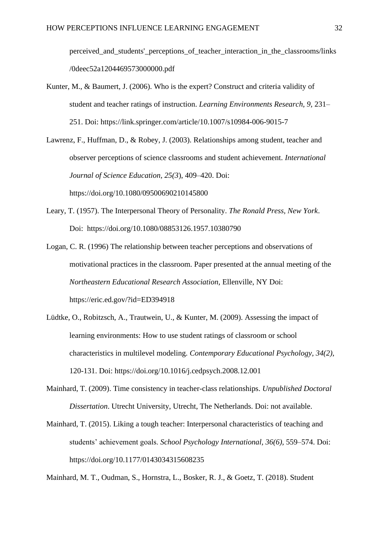perceived\_and\_students'\_perceptions\_of\_teacher\_interaction\_in\_the\_classrooms/links /0deec52a1204469573000000.pdf

Kunter, M., & Baumert, J. (2006). Who is the expert? Construct and criteria validity of student and teacher ratings of instruction. *Learning Environments Research, 9,* 231– 251. Doi: https://link.springer.com/article/10.1007/s10984-006-9015-7

Lawrenz, F., Huffman, D., & Robey, J. (2003). Relationships among student, teacher and observer perceptions of science classrooms and student achievement. *International Journal of Science Education, 25(3*), 409–420. Doi: https://doi.org/10.1080/09500690210145800

- Leary, T. (1957). The Interpersonal Theory of Personality. *The Ronald Press, New York*. Doi: https://doi.org/10.1080/08853126.1957.10380790
- Logan, C. R. (1996) The relationship between teacher perceptions and observations of motivational practices in the classroom. Paper presented at the annual meeting of the *Northeastern Educational Research Association*, Ellenville, NY Doi: https://eric.ed.gov/?id=ED394918
- Lüdtke, O., Robitzsch, A., Trautwein, U., & Kunter, M. (2009). Assessing the impact of learning environments: How to use student ratings of classroom or school characteristics in multilevel modeling. *Contemporary Educational Psychology, 34(2)*, 120-131. Doi: https://doi.org/10.1016/j.cedpsych.2008.12.001
- Mainhard, T. (2009). Time consistency in teacher-class relationships. *Unpublished Doctoral Dissertation*. Utrecht University, Utrecht, The Netherlands. Doi: not available.
- Mainhard, T. (2015). Liking a tough teacher: Interpersonal characteristics of teaching and students' achievement goals. *School Psychology International, 36(6)*, 559–574. Doi: https://doi.org/10.1177/0143034315608235

Mainhard, M. T., Oudman, S., Hornstra, L., Bosker, R. J., & Goetz, T. (2018). Student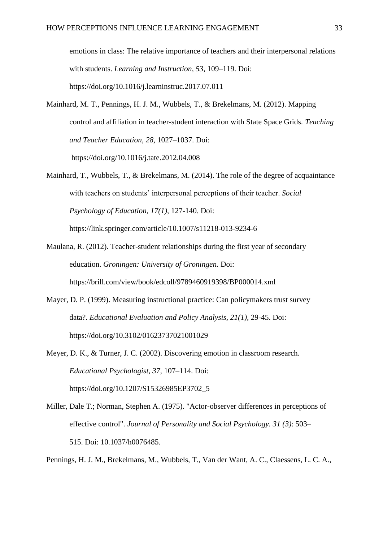emotions in class: The relative importance of teachers and their interpersonal relations with students. *Learning and Instruction, 53,* 109–119. Doi: https://doi.org/10.1016/j.learninstruc.2017.07.011

- Mainhard, M. T., Pennings, H. J. M., Wubbels, T., & Brekelmans, M. (2012). Mapping control and affiliation in teacher-student interaction with State Space Grids. *Teaching and Teacher Education, 28,* 1027–1037. Doi: https://doi.org/10.1016/j.tate.2012.04.008
- Mainhard, T., Wubbels, T., & Brekelmans, M. (2014). The role of the degree of acquaintance with teachers on students' interpersonal perceptions of their teacher. *Social Psychology of Education, 17(1)*, 127-140. Doi: https://link.springer.com/article/10.1007/s11218-013-9234-6

Maulana, R. (2012). Teacher-student relationships during the first year of secondary

- education. *Groningen: University of Groningen*. Doi: https://brill.com/view/book/edcoll/9789460919398/BP000014.xml
- Mayer, D. P. (1999). Measuring instructional practice: Can policymakers trust survey data?. *Educational Evaluation and Policy Analysis, 21(1),* 29-45. Doi: https://doi.org/10.3102/01623737021001029
- Meyer, D. K., & Turner, J. C. (2002). Discovering emotion in classroom research. *Educational Psychologist, 37,* 107–114. Doi: https://doi.org/10.1207/S15326985EP3702\_5
- Miller, Dale T.; Norman, Stephen A. (1975). "Actor-observer differences in perceptions of effective control". *Journal of Personality and Social Psychology. 31 (3)*: 503– 515. Doi: 10.1037/h0076485.

Pennings, H. J. M., Brekelmans, M., Wubbels, T., Van der Want, A. C., Claessens, L. C. A.,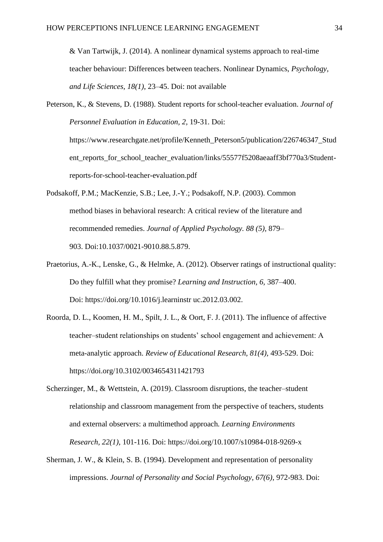& Van Tartwijk, J. (2014). A nonlinear dynamical systems approach to real-time teacher behaviour: Differences between teachers. Nonlinear Dynamics, *Psychology, and Life Sciences, 18(1)*, 23–45. Doi: not available

Peterson, K., & Stevens, D. (1988). Student reports for school-teacher evaluation. *Journal of Personnel Evaluation in Education, 2,* 19-31. Doi: https://www.researchgate.net/profile/Kenneth\_Peterson5/publication/226746347\_Stud ent\_reports\_for\_school\_teacher\_evaluation/links/55577f5208aeaaff3bf770a3/Studentreports-for-school-teacher-evaluation.pdf

- Podsakoff, P.M.; MacKenzie, S.B.; Lee, J.-Y.; Podsakoff, N.P. (2003). Common method biases in behavioral research: A critical review of the literature and recommended remedies. *Journal of Applied Psychology. 88 (5),* 879– 903. Doi:10.1037/0021-9010.88.5.879.
- Praetorius, A.-K., Lenske, G., & Helmke, A. (2012). Observer ratings of instructional quality: Do they fulfill what they promise? *Learning and Instruction, 6,* 387–400. Doi: https://doi.org/10.1016/j.learninstr uc.2012.03.002.
- Roorda, D. L., Koomen, H. M., Spilt, J. L., & Oort, F. J. (2011). The influence of affective teacher–student relationships on students' school engagement and achievement: A meta-analytic approach. *Review of Educational Research, 81(4),* 493-529. Doi: https://doi.org/10.3102/0034654311421793
- Scherzinger, M., & Wettstein, A. (2019). Classroom disruptions, the teacher–student relationship and classroom management from the perspective of teachers, students and external observers: a multimethod approach*. Learning Environments Research, 22(1)*, 101-116. Doi: https://doi.org/10.1007/s10984-018-9269-x
- Sherman, J. W., & Klein, S. B. (1994). Development and representation of personality impressions. *Journal of Personality and Social Psychology, 67(6)*, 972-983. Doi: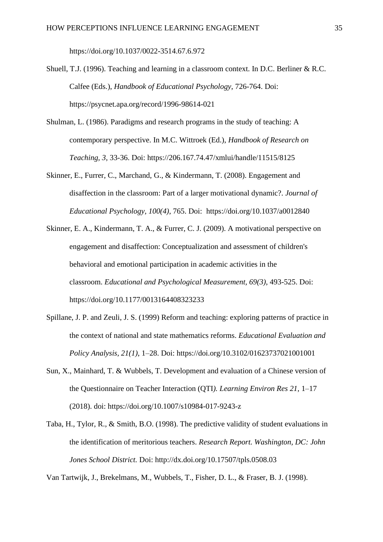https://doi.org/10.1037/0022-3514.67.6.972

- Shuell, T.J. (1996). Teaching and learning in a classroom context. In D.C. Berliner & R.C. Calfee (Eds.), *Handbook of Educational Psychology*, 726-764. Doi: https://psycnet.apa.org/record/1996-98614-021
- Shulman, L. (1986). Paradigms and research programs in the study of teaching: A contemporary perspective. In M.C. Wittroek (Ed.), *Handbook of Research on Teaching, 3,* 33-36. Doi: https://206.167.74.47/xmlui/handle/11515/8125
- Skinner, E., Furrer, C., Marchand, G., & Kindermann, T. (2008). Engagement and disaffection in the classroom: Part of a larger motivational dynamic?. *Journal of Educational Psychology, 100(4)*, 765. Doi: https://doi.org/10.1037/a0012840
- Skinner, E. A., Kindermann, T. A., & Furrer, C. J. (2009). A motivational perspective on engagement and disaffection: Conceptualization and assessment of children's behavioral and emotional participation in academic activities in the classroom. *Educational and Psychological Measurement, 69(3)*, 493-525. Doi: https://doi.org/10.1177/0013164408323233
- Spillane, J. P. and Zeuli, J. S. (1999) Reform and teaching: exploring patterns of practice in the context of national and state mathematics reforms. *Educational Evaluation and Policy Analysis, 21(1)*, 1–28. Doi: https://doi.org/10.3102/01623737021001001
- Sun, X., Mainhard, T. & Wubbels, T. Development and evaluation of a Chinese version of the Questionnaire on Teacher Interaction (QTI*). Learning Environ Res 21,* 1–17 (2018). doi: https://doi.org/10.1007/s10984-017-9243-z
- Taba, H., Tylor, R., & Smith, B.O. (1998). The predictive validity of student evaluations in the identification of meritorious teachers. *Research Report. Washington, DC: John Jones School District.* Doi: http://dx.doi.org/10.17507/tpls.0508.03

Van Tartwijk, J., Brekelmans, M., Wubbels, T., Fisher, D. L., & Fraser, B. J. (1998).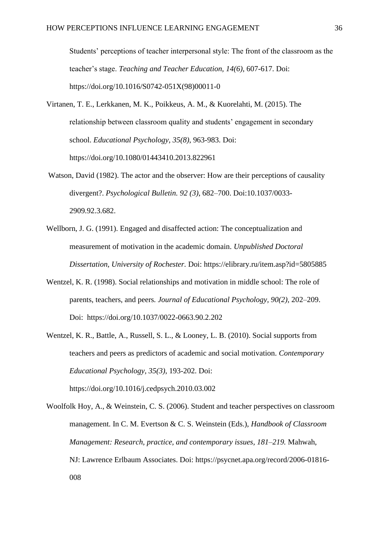Students' perceptions of teacher interpersonal style: The front of the classroom as the teacher's stage. *Teaching and Teacher Education, 14(6)*, 607-617. Doi: https://doi.org/10.1016/S0742-051X(98)00011-0

- Virtanen, T. E., Lerkkanen, M. K., Poikkeus, A. M., & Kuorelahti, M. (2015). The relationship between classroom quality and students' engagement in secondary school. *Educational Psychology, 35(8)*, 963-983. Doi: https://doi.org/10.1080/01443410.2013.822961
- Watson, David (1982). The actor and the observer: How are their perceptions of causality divergent?. *Psychological Bulletin. 92 (3)*, 682–700. Doi:10.1037/0033- 2909.92.3.682.
- Wellborn, J. G. (1991). Engaged and disaffected action: The conceptualization and measurement of motivation in the academic domain. *Unpublished Doctoral Dissertation, University of Rochester.* Doi: https://elibrary.ru/item.asp?id=5805885
- Wentzel, K. R. (1998). Social relationships and motivation in middle school: The role of parents, teachers, and peers*. Journal of Educational Psychology, 90(2),* 202–209. Doi: https://doi.org/10.1037/0022-0663.90.2.202
- Wentzel, K. R., Battle, A., Russell, S. L., & Looney, L. B. (2010). Social supports from teachers and peers as predictors of academic and social motivation. *Contemporary Educational Psychology, 35(3)*, 193-202. Doi: https://doi.org/10.1016/j.cedpsych.2010.03.002
- Woolfolk Hoy, A., & Weinstein, C. S. (2006). Student and teacher perspectives on classroom management. In C. M. Evertson & C. S. Weinstein (Eds.), *Handbook of Classroom Management: Research, practice, and contemporary issues, 181–219.* Mahwah, NJ: Lawrence Erlbaum Associates. Doi: https://psycnet.apa.org/record/2006-01816- 008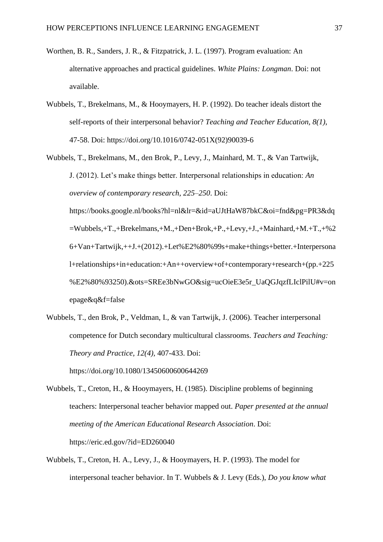- Worthen, B. R., Sanders, J. R., & Fitzpatrick, J. L. (1997). Program evaluation: An alternative approaches and practical guidelines. *White Plains: Longman*. Doi: not available.
- Wubbels, T., Brekelmans, M., & Hooymayers, H. P. (1992). Do teacher ideals distort the self-reports of their interpersonal behavior? *Teaching and Teacher Education, 8(1)*, 47-58. Doi: https://doi.org/10.1016/0742-051X(92)90039-6
- Wubbels, T., Brekelmans, M., den Brok, P., Levy, J., Mainhard, M. T., & Van Tartwijk, J. (2012). Let's make things better. Interpersonal relationships in education: *An overview of contemporary research*, *225–250*. Doi:

https://books.google.nl/books?hl=nl&lr=&id=aUJtHaW87bkC&oi=fnd&pg=PR3&dq =Wubbels,+T.,+Brekelmans,+M.,+Den+Brok,+P.,+Levy,+J.,+Mainhard,+M.+T.,+%2 6+Van+Tartwijk,++J.+(2012).+Let%E2%80%99s+make+things+better.+Interpersona l+relationships+in+education:+An++overview+of+contemporary+research+(pp.+225 %E2%80%93250).&ots=SREe3bNwGO&sig=ucOieE3e5r\_UaQGJqzfLIclPilU#v=on epage&q&f=false

Wubbels, T., den Brok, P., Veldman, I., & van Tartwijk, J. (2006). Teacher interpersonal competence for Dutch secondary multicultural classrooms. *Teachers and Teaching: Theory and Practice, 12(4),* 407-433. Doi:

https://doi.org/10.1080/13450600600644269

- Wubbels, T., Creton, H., & Hooymayers, H. (1985). Discipline problems of beginning teachers: Interpersonal teacher behavior mapped out. *Paper presented at the annual meeting of the American Educational Research Association*. Doi: https://eric.ed.gov/?id=ED260040
- Wubbels, T., Creton, H. A., Levy, J., & Hooymayers, H. P. (1993). The model for interpersonal teacher behavior. In T. Wubbels & J. Levy (Eds.), *Do you know what*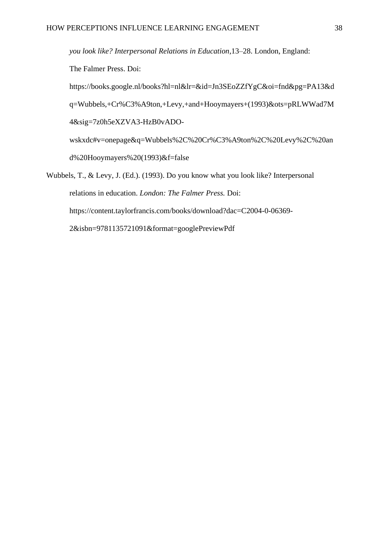*you look like? Interpersonal Relations in Education*,13–28. London, England: The Falmer Press. Doi: https://books.google.nl/books?hl=nl&lr=&id=Jn3SEoZZfYgC&oi=fnd&pg=PA13&d

q=Wubbels,+Cr%C3%A9ton,+Levy,+and+Hooymayers+(1993)&ots=pRLWWad7M 4&sig=7z0h5eXZVA3-HzB0vADO-

wskxdc#v=onepage&q=Wubbels%2C%20Cr%C3%A9ton%2C%20Levy%2C%20an d%20Hooymayers%20(1993)&f=false

Wubbels, T., & Levy, J. (Ed.). (1993). Do you know what you look like? Interpersonal relations in education. *London: The Falmer Press.* Doi: https://content.taylorfrancis.com/books/download?dac=C2004-0-06369- 2&isbn=9781135721091&format=googlePreviewPdf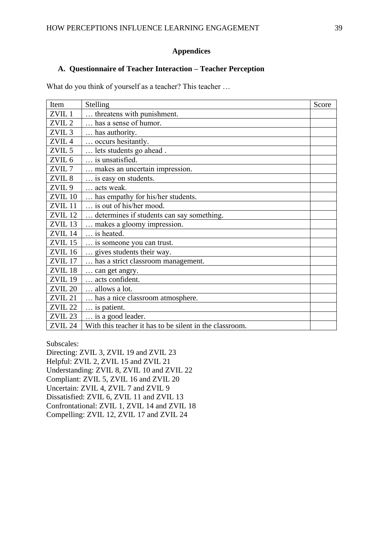## **Appendices**

## **A. Questionnaire of Teacher Interaction – Teacher Perception**

What do you think of yourself as a teacher? This teacher …

| Item               | Stelling                                                | Score |
|--------------------|---------------------------------------------------------|-------|
| ZVIL <sub>1</sub>  | threatens with punishment.                              |       |
| ZVIL <sub>2</sub>  | has a sense of humor.                                   |       |
| ZVIL <sub>3</sub>  | has authority.                                          |       |
| ZVIL <sub>4</sub>  | occurs hesitantly.                                      |       |
| ZVIL <sub>5</sub>  | lets students go ahead.                                 |       |
| ZVIL <sub>6</sub>  | is unsatisfied.                                         |       |
| ZVIL <sub>7</sub>  | makes an uncertain impression.                          |       |
| ZVIL <sub>8</sub>  | is easy on students.                                    |       |
| ZVIL <sub>9</sub>  | acts weak.                                              |       |
| ZVIL 10            | has empathy for his/her students.                       |       |
| ZVIL <sub>11</sub> | is out of his/her mood.                                 |       |
| ZVIL <sub>12</sub> | determines if students can say something.               |       |
| ZVIL <sub>13</sub> | makes a gloomy impression.                              |       |
| ZVIL <sub>14</sub> | is heated.                                              |       |
| ZVIL <sub>15</sub> | is someone you can trust.                               |       |
| ZVIL <sub>16</sub> | gives students their way.                               |       |
| ZVIL <sub>17</sub> | has a strict classroom management.                      |       |
| ZVIL <sub>18</sub> | can get angry.                                          |       |
| <b>ZVIL 19</b>     | acts confident.                                         |       |
| <b>ZVIL 20</b>     | allows a lot.                                           |       |
| ZVIL <sub>21</sub> | has a nice classroom atmosphere.                        |       |
| <b>ZVIL 22</b>     | is patient.                                             |       |
| ZVIL <sub>23</sub> | is a good leader.                                       |       |
| ZVIL <sub>24</sub> | With this teacher it has to be silent in the classroom. |       |

Subscales:

Directing: ZVIL 3, ZVIL 19 and ZVIL 23 Helpful: ZVIL 2, ZVIL 15 and ZVIL 21 Understanding: ZVIL 8, ZVIL 10 and ZVIL 22 Compliant: ZVIL 5, ZVIL 16 and ZVIL 20 Uncertain: ZVIL 4, ZVIL 7 and ZVIL 9 Dissatisfied: ZVIL 6, ZVIL 11 and ZVIL 13 Confrontational: ZVIL 1, ZVIL 14 and ZVIL 18 Compelling: ZVIL 12, ZVIL 17 and ZVIL 24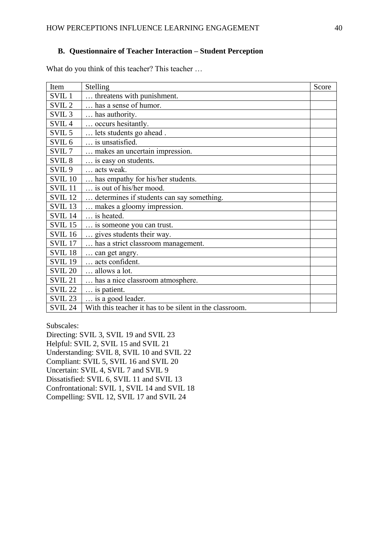## **B. Questionnaire of Teacher Interaction – Student Perception**

What do you think of this teacher? This teacher ...

| Item               | Stelling                                                | Score |
|--------------------|---------------------------------------------------------|-------|
| SVIL <sub>1</sub>  | threatens with punishment.                              |       |
| SVIL <sub>2</sub>  | has a sense of humor.                                   |       |
| SVIL <sub>3</sub>  | has authority.                                          |       |
| SVIL <sub>4</sub>  | occurs hesitantly.                                      |       |
| SVIL <sub>5</sub>  | lets students go ahead.                                 |       |
| SVIL <sub>6</sub>  | is unsatisfied.                                         |       |
| SVIL <sub>7</sub>  | makes an uncertain impression.                          |       |
| SVIL <sub>8</sub>  | is easy on students.                                    |       |
| SVIL <sub>9</sub>  | acts weak.                                              |       |
| <b>SVIL 10</b>     | has empathy for his/her students.                       |       |
| SVIL <sub>11</sub> | is out of his/her mood.                                 |       |
| <b>SVIL 12</b>     | determines if students can say something.               |       |
| SVIL <sub>13</sub> | makes a gloomy impression.                              |       |
| SVIL <sub>14</sub> | is heated.                                              |       |
| <b>SVIL 15</b>     | is someone you can trust.                               |       |
| <b>SVIL 16</b>     | gives students their way.                               |       |
| <b>SVIL 17</b>     | has a strict classroom management.                      |       |
| SVIL <sub>18</sub> | can get angry.                                          |       |
| <b>SVIL 19</b>     | acts confident.                                         |       |
| <b>SVIL 20</b>     | allows a lot.                                           |       |
| SVIL <sub>21</sub> | has a nice classroom atmosphere.                        |       |
| <b>SVIL 22</b>     | is patient.                                             |       |
| <b>SVIL 23</b>     | is a good leader.                                       |       |
| <b>SVIL 24</b>     | With this teacher it has to be silent in the classroom. |       |

Subscales:

Directing: SVIL 3, SVIL 19 and SVIL 23

Helpful: SVIL 2, SVIL 15 and SVIL 21

Understanding: SVIL 8, SVIL 10 and SVIL 22

Compliant: SVIL 5, SVIL 16 and SVIL 20

Uncertain: SVIL 4, SVIL 7 and SVIL 9

Dissatisfied: SVIL 6, SVIL 11 and SVIL 13

Confrontational: SVIL 1, SVIL 14 and SVIL 18

Compelling: SVIL 12, SVIL 17 and SVIL 24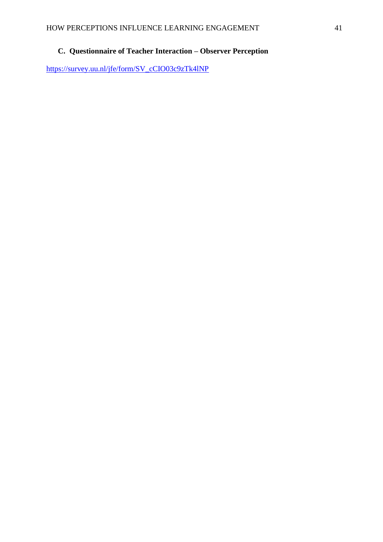# **C. Questionnaire of Teacher Interaction – Observer Perception**

[https://survey.uu.nl/jfe/form/SV\\_cCIO03c9zTk4lNP](https://survey.uu.nl/jfe/form/SV_cCIO03c9zTk4lNP)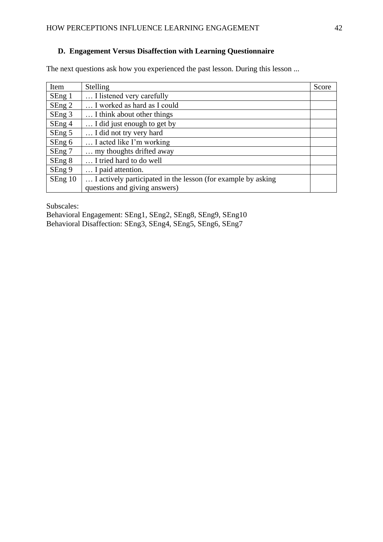## **D. Engagement Versus Disaffection with Learning Questionnaire**

The next questions ask how you experienced the past lesson. During this lesson ...

| Item    | <b>Stelling</b>                                              | Score |
|---------|--------------------------------------------------------------|-------|
| SEng 1  | I listened very carefully                                    |       |
| SEng 2  | I worked as hard as I could                                  |       |
| SEng 3  | I think about other things                                   |       |
| SEng 4  | I did just enough to get by                                  |       |
| SEng 5  | I did not try very hard                                      |       |
| SEng 6  | I acted like I'm working                                     |       |
| SEng 7  | my thoughts drifted away                                     |       |
| SEng 8  | I tried hard to do well                                      |       |
| SEng 9  | I paid attention.                                            |       |
| SEng 10 | I actively participated in the lesson (for example by asking |       |
|         | questions and giving answers)                                |       |

Subscales:

Behavioral Engagement: SEng1, SEng2, SEng8, SEng9, SEng10 Behavioral Disaffection: SEng3, SEng4, SEng5, SEng6, SEng7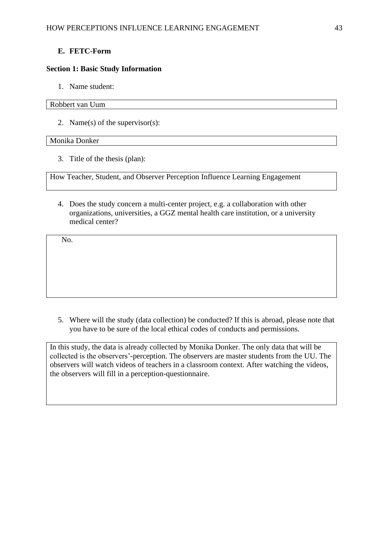## **E. FETC-Form**

## **Section 1: Basic Study Information**

1. Name student:

## Robbert van Uum

2. Name(s) of the supervisor(s):

## Monika Donker

3. Title of the thesis (plan):

How Teacher, Student, and Observer Perception Influence Learning Engagement

4. Does the study concern a multi-center project, e.g. a collaboration with other organizations, universities, a GGZ mental health care institution, or a university medical center?

No.

5. Where will the study (data collection) be conducted? If this is abroad, please note that you have to be sure of the local ethical codes of conducts and permissions.

In this study, the data is already collected by Monika Donker. The only data that will be collected is the observers'-perception. The observers are master students from the UU. The observers will watch videos of teachers in a classroom context. After watching the videos, the observers will fill in a perception-questionnaire.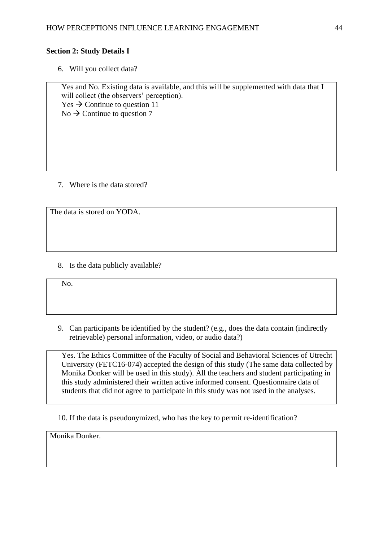## **Section 2: Study Details I**

6. Will you collect data?

Yes and No. Existing data is available, and this will be supplemented with data that I will collect (the observers' perception).  $Yes \rightarrow$  Continue to question 11  $\mathrm{No} \rightarrow \mathrm{Continue}$  to question 7

7. Where is the data stored?

The data is stored on YODA.

8. Is the data publicly available?

No.

9. Can participants be identified by the student? (e.g., does the data contain (indirectly retrievable) personal information, video, or audio data?)

Yes. The Ethics Committee of the Faculty of Social and Behavioral Sciences of Utrecht University (FETC16-074) accepted the design of this study (The same data collected by Monika Donker will be used in this study). All the teachers and student participating in this study administered their written active informed consent. Questionnaire data of students that did not agree to participate in this study was not used in the analyses.

10. If the data is pseudonymized, who has the key to permit re-identification?

Monika Donker.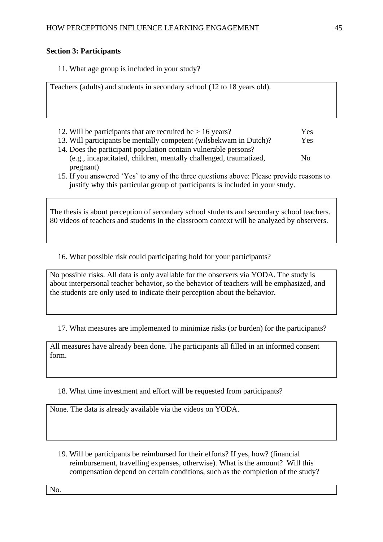## **Section 3: Participants**

11. What age group is included in your study?

Teachers (adults) and students in secondary school (12 to 18 years old).

- 12. Will be participants that are recruited be  $> 16$  years? Yes 13. Will participants be mentally competent (wilsbekwam in Dutch)? Yes 14. Does the participant population contain vulnerable persons? (e.g., incapacitated, children, mentally challenged, traumatized, No pregnant)
- 15. If you answered 'Yes' to any of the three questions above: Please provide reasons to justify why this particular group of participants is included in your study.

The thesis is about perception of secondary school students and secondary school teachers. 80 videos of teachers and students in the classroom context will be analyzed by observers.

16. What possible risk could participating hold for your participants?

No possible risks. All data is only available for the observers via YODA. The study is about interpersonal teacher behavior, so the behavior of teachers will be emphasized, and the students are only used to indicate their perception about the behavior.

17. What measures are implemented to minimize risks (or burden) for the participants?

All measures have already been done. The participants all filled in an informed consent form.

18. What time investment and effort will be requested from participants?

None. The data is already available via the videos on YODA.

19. Will be participants be reimbursed for their efforts? If yes, how? (financial reimbursement, travelling expenses, otherwise). What is the amount? Will this compensation depend on certain conditions, such as the completion of the study?

No.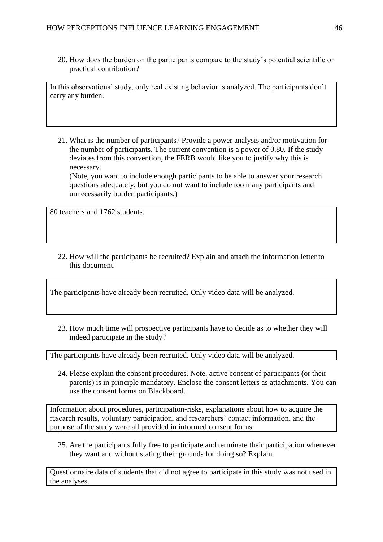20. How does the burden on the participants compare to the study's potential scientific or practical contribution?

In this observational study, only real existing behavior is analyzed. The participants don't carry any burden.

21. What is the number of participants? Provide a power analysis and/or motivation for the number of participants. The current convention is a power of 0.80. If the study deviates from this convention, the FERB would like you to justify why this is necessary. (Note, you want to include enough participants to be able to answer your research questions adequately, but you do not want to include too many participants and

80 teachers and 1762 students.

unnecessarily burden participants.)

22. How will the participants be recruited? Explain and attach the information letter to this document.

The participants have already been recruited. Only video data will be analyzed.

23. How much time will prospective participants have to decide as to whether they will indeed participate in the study?

The participants have already been recruited. Only video data will be analyzed.

24. Please explain the consent procedures. Note, active consent of participants (or their parents) is in principle mandatory. Enclose the consent letters as attachments. You can use the consent forms on Blackboard.

Information about procedures, participation-risks, explanations about how to acquire the research results, voluntary participation, and researchers' contact information, and the purpose of the study were all provided in informed consent forms.

25. Are the participants fully free to participate and terminate their participation whenever they want and without stating their grounds for doing so? Explain.

Questionnaire data of students that did not agree to participate in this study was not used in the analyses.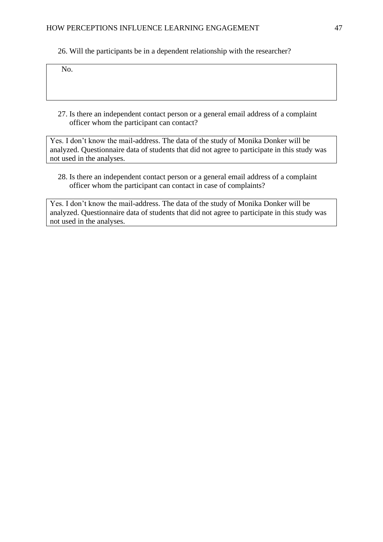26. Will the participants be in a dependent relationship with the researcher?

 $\overline{N_0}$ 

27. Is there an independent contact person or a general email address of a complaint officer whom the participant can contact?

Yes. I don't know the mail-address. The data of the study of Monika Donker will be analyzed. Questionnaire data of students that did not agree to participate in this study was not used in the analyses.

28. Is there an independent contact person or a general email address of a complaint officer whom the participant can contact in case of complaints?

Yes. I don't know the mail-address. The data of the study of Monika Donker will be analyzed. Questionnaire data of students that did not agree to participate in this study was not used in the analyses.